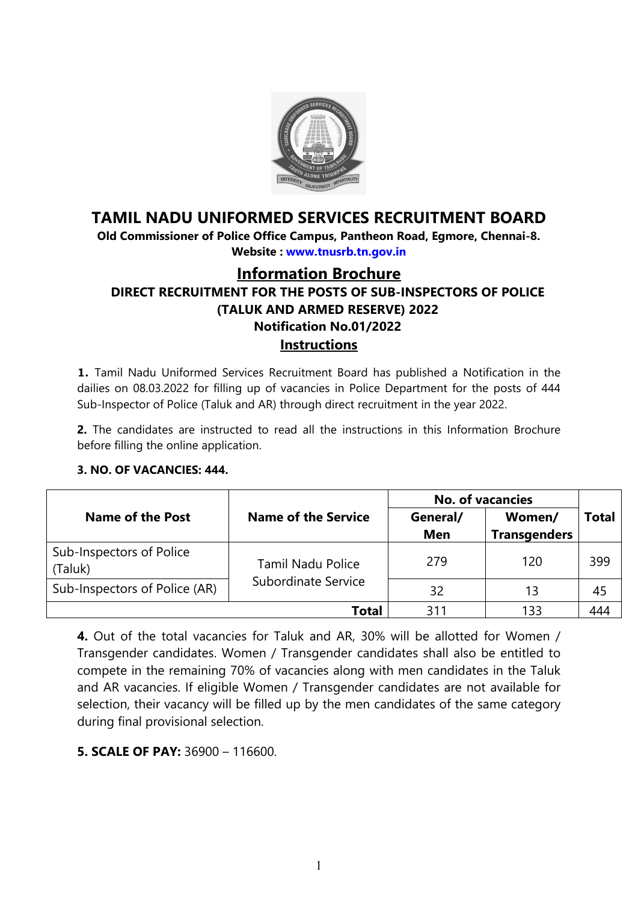

# <span id="page-0-0"></span>**TAMIL NADU UNIFORMED SERVICES RECRUITMENT BOARD**

**Old Commissioner of Police Office Campus, Pantheon Road, Egmore, Chennai-8. Website : [www.tnusrb.tn.gov.in](http://www.tnusrb.tn.gov.in/)** 

# **Information Brochure DIRECT RECRUITMENT FOR THE POSTS OF SUB-INSPECTORS OF POLICE (TALUK AND ARMED RESERVE) 2022 Notification No.01/2022 Instructions**

**1.** Tamil Nadu Uniformed Services Recruitment Board has published a Notification in the dailies on 08.03.2022 for filling up of vacancies in Police Department for the posts of 444 Sub-Inspector of Police (Taluk and AR) through direct recruitment in the year 2022.

**2.** The candidates are instructed to read all the instructions in this Information Brochure before filling the online application.

#### **3. NO. OF VACANCIES: 444.**

|                                     |                            | <b>No. of vacancies</b> |                               |       |
|-------------------------------------|----------------------------|-------------------------|-------------------------------|-------|
| Name of the Post                    | <b>Name of the Service</b> | General/<br><b>Men</b>  | Women/<br><b>Transgenders</b> | Total |
| Sub-Inspectors of Police<br>(Taluk) | <b>Tamil Nadu Police</b>   | 279                     | 120                           | 399   |
| Sub-Inspectors of Police (AR)       | Subordinate Service        | 32                      | 13                            | 45    |
|                                     | Total                      | 31                      | 133                           | 444   |

**4.** Out of the total vacancies for Taluk and AR, 30% will be allotted for Women / Transgender candidates. Women / Transgender candidates shall also be entitled to compete in the remaining 70% of vacancies along with men candidates in the Taluk and AR vacancies. If eligible Women / Transgender candidates are not available for selection, their vacancy will be filled up by the men candidates of the same category during final provisional selection.

**5. SCALE OF PAY:** 36900 – 116600.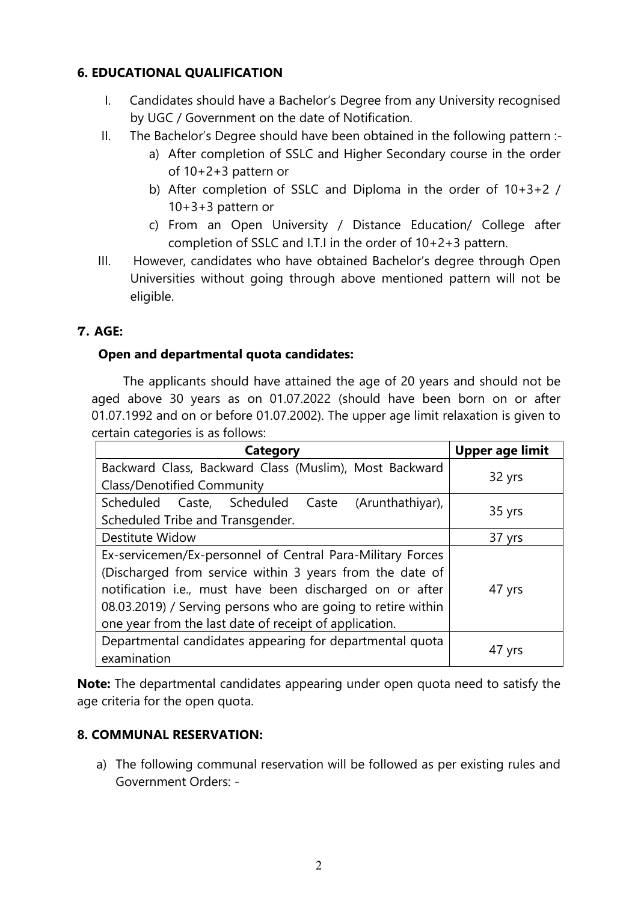# **6. EDUCATIONAL QUALIFICATION**

- I. Candidates should have a Bachelor's Degree from any University recognised by UGC / Government on the date of Notification.
- II. The Bachelor's Degree should have been obtained in the following pattern :
	- a) After completion of SSLC and Higher Secondary course in the order of 10+2+3 pattern or
	- b) After completion of SSLC and Diploma in the order of 10+3+2 / 10+3+3 pattern or
	- c) From an Open University / Distance Education/ College after completion of SSLC and I.T.I in the order of 10+2+3 pattern.
- III. However, candidates who have obtained Bachelor's degree through Open Universities without going through above mentioned pattern will not be eligible.

### **7. AGE:**

### **Open and departmental quota candidates:**

 The applicants should have attained the age of 20 years and should not be aged above 30 years as on 01.07.2022 (should have been born on or after 01.07.1992 and on or before 01.07.2002). The upper age limit relaxation is given to certain categories is as follows:

| <b>Category</b>                                              | <b>Upper age limit</b> |
|--------------------------------------------------------------|------------------------|
| Backward Class, Backward Class (Muslim), Most Backward       |                        |
| <b>Class/Denotified Community</b>                            | 32 yrs                 |
| Scheduled Caste, Scheduled Caste<br>(Arunthathiyar),         |                        |
| Scheduled Tribe and Transgender.                             | 35 yrs                 |
| Destitute Widow                                              | 37 yrs                 |
| Ex-servicemen/Ex-personnel of Central Para-Military Forces   |                        |
| (Discharged from service within 3 years from the date of     |                        |
| notification i.e., must have been discharged on or after     | 47 yrs                 |
| 08.03.2019) / Serving persons who are going to retire within |                        |
| one year from the last date of receipt of application.       |                        |
| Departmental candidates appearing for departmental quota     |                        |
| examination                                                  | 47 yrs                 |

**Note:** The departmental candidates appearing under open quota need to satisfy the age criteria for the open quota.

#### **8. COMMUNAL RESERVATION:**

a) The following communal reservation will be followed as per existing rules and Government Orders: -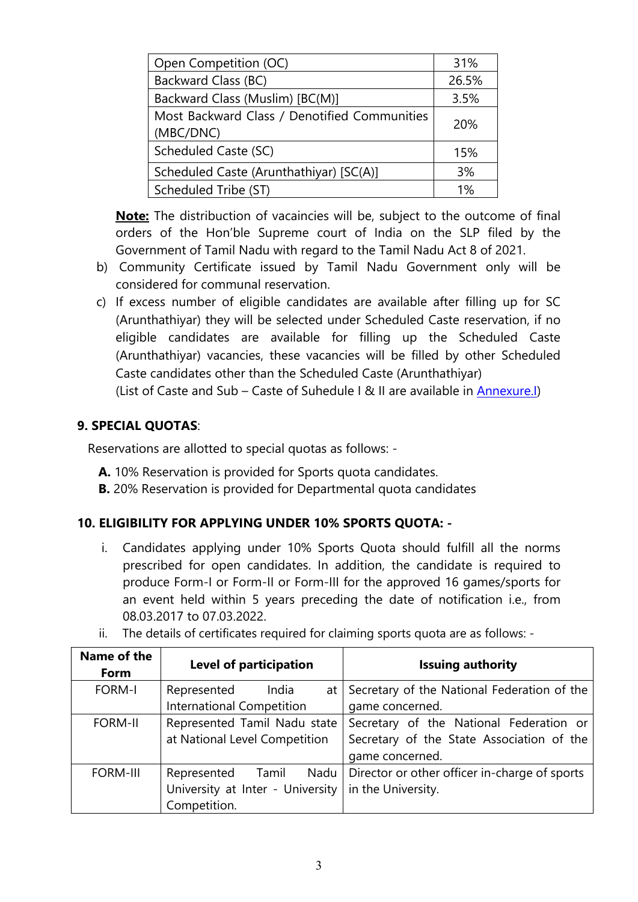| Open Competition (OC)                        | 31%   |
|----------------------------------------------|-------|
| Backward Class (BC)                          | 26.5% |
| Backward Class (Muslim) [BC(M)]              | 3.5%  |
| Most Backward Class / Denotified Communities | 20%   |
| (MBC/DNC)                                    |       |
| Scheduled Caste (SC)                         | 15%   |
| Scheduled Caste (Arunthathiyar) [SC(A)]      | 3%    |
| Scheduled Tribe (ST)                         | 1%    |

**Note:** The distribuction of vacaincies will be, subject to the outcome of final orders of the Hon'ble Supreme court of India on the SLP filed by the Government of Tamil Nadu with regard to the Tamil Nadu Act 8 of 2021.

- b) Community Certificate issued by Tamil Nadu Government only will be considered for communal reservation.
- c) If excess number of eligible candidates are available after filling up for SC (Arunthathiyar) they will be selected under Scheduled Caste reservation, if no eligible candidates are available for filling up the Scheduled Caste (Arunthathiyar) vacancies, these vacancies will be filled by other Scheduled Caste candidates other than the Scheduled Caste (Arunthathiyar)

(List of Caste and Sub – Caste of Suhedule I & II are available in [Annexure.I](#page-30-0))

### **9. SPECIAL QUOTAS**:

Reservations are allotted to special quotas as follows: -

- **A.** 10% Reservation is provided for Sports quota candidates.
- **B.** 20% Reservation is provided for Departmental quota candidates

#### **10. ELIGIBILITY FOR APPLYING UNDER 10% SPORTS QUOTA: -**

i. Candidates applying under 10% Sports Quota should fulfill all the norms prescribed for open candidates. In addition, the candidate is required to produce Form-I or Form-II or Form-III for the approved 16 games/sports for an event held within 5 years preceding the date of notification i.e., from 08.03.2017 to 07.03.2022.

| Name of the<br>Form | Level of participation           | <b>Issuing authority</b>                         |
|---------------------|----------------------------------|--------------------------------------------------|
| <b>FORM-I</b>       | Represented<br>India             | at   Secretary of the National Federation of the |
|                     | International Competition        | game concerned.                                  |
| <b>FORM-II</b>      | Represented Tamil Nadu state     | Secretary of the National Federation or          |
|                     | at National Level Competition    | Secretary of the State Association of the        |
|                     |                                  | game concerned.                                  |
| <b>FORM-III</b>     | Nadu  <br>Represented Tamil      | Director or other officer in-charge of sports    |
|                     | University at Inter - University | in the University.                               |
|                     | Competition.                     |                                                  |

ii. The details of certificates required for claiming sports quota are as follows: -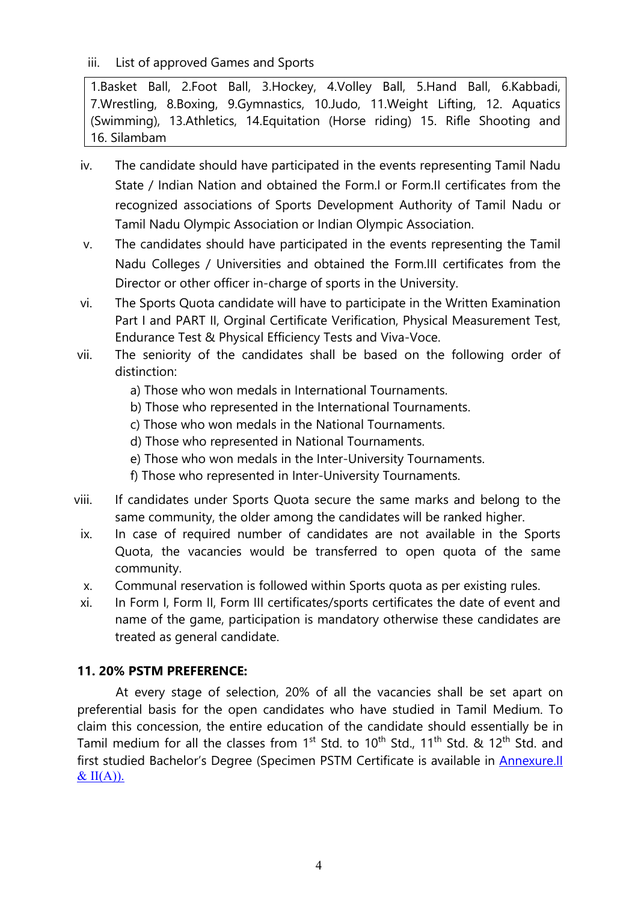iii. List of approved Games and Sports

1.Basket Ball, 2.Foot Ball, 3.Hockey, 4.Volley Ball, 5.Hand Ball, 6.Kabbadi, 7.Wrestling, 8.Boxing, 9.Gymnastics, 10.Judo, 11.Weight Lifting, 12. Aquatics (Swimming), 13.Athletics, 14.Equitation (Horse riding) 15. Rifle Shooting and 16. Silambam

- iv. The candidate should have participated in the events representing Tamil Nadu State / Indian Nation and obtained the Form.I or Form.II certificates from the recognized associations of Sports Development Authority of Tamil Nadu or Tamil Nadu Olympic Association or Indian Olympic Association.
- v. The candidates should have participated in the events representing the Tamil Nadu Colleges / Universities and obtained the Form.III certificates from the Director or other officer in-charge of sports in the University.
- vi. The Sports Quota candidate will have to participate in the Written Examination Part I and PART II, Orginal Certificate Verification, Physical Measurement Test, Endurance Test & Physical Efficiency Tests and Viva-Voce.
- vii. The seniority of the candidates shall be based on the following order of distinction:
	- a) Those who won medals in International Tournaments.
	- b) Those who represented in the International Tournaments.
	- c) Those who won medals in the National Tournaments.
	- d) Those who represented in National Tournaments.
	- e) Those who won medals in the Inter-University Tournaments.
	- f) Those who represented in Inter-University Tournaments.
- viii. If candidates under Sports Quota secure the same marks and belong to the same community, the older among the candidates will be ranked higher.
- ix. In case of required number of candidates are not available in the Sports Quota, the vacancies would be transferred to open quota of the same community.
- x. Communal reservation is followed within Sports quota as per existing rules.
- xi. In Form I, Form II, Form III certificates/sports certificates the date of event and name of the game, participation is mandatory otherwise these candidates are treated as general candidate.

# **11. 20% PSTM PREFERENCE:**

At every stage of selection, 20% of all the vacancies shall be set apart on preferential basis for the open candidates who have studied in Tamil Medium. To claim this concession, the entire education of the candidate should essentially be in Tamil medium for all the classes from 1<sup>st</sup> Std. to 10<sup>th</sup> Std., 11<sup>th</sup> Std. & 12<sup>th</sup> Std. and first studied Bachelor's Degree (Specimen PSTM Certificate is available in **Annexure.**<sup>II</sup>  $& II(A)$ ).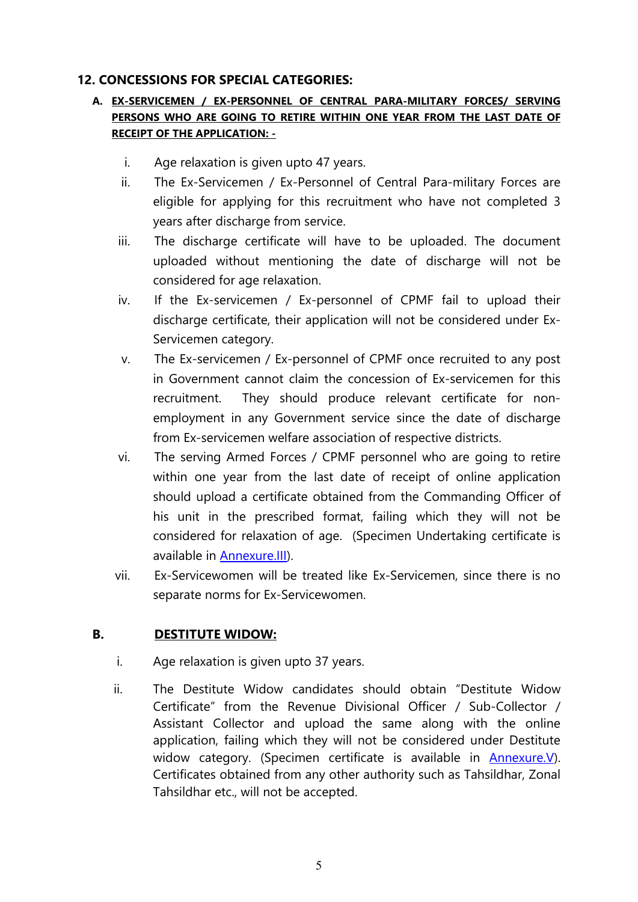### <span id="page-4-0"></span>**12. CONCESSIONS FOR SPECIAL CATEGORIES:**

### **A. EX-SERVICEMEN / EX-PERSONNEL OF CENTRAL PARA-MILITARY FORCES/ SERVING PERSONS WHO ARE GOING TO RETIRE WITHIN ONE YEAR FROM THE LAST DATE OF RECEIPT OF THE APPLICATION: -**

- i. Age relaxation is given upto 47 years.
- ii. The Ex-Servicemen / Ex-Personnel of Central Para-military Forces are eligible for applying for this recruitment who have not completed 3 years after discharge from service.
- iii. The discharge certificate will have to be uploaded. The document uploaded without mentioning the date of discharge will not be considered for age relaxation.
- iv. If the Ex-servicemen / Ex-personnel of CPMF fail to upload their discharge certificate, their application will not be considered under Ex-Servicemen category.
- v. The Ex-servicemen / Ex-personnel of CPMF once recruited to any post in Government cannot claim the concession of Ex-servicemen for this recruitment. They should produce relevant certificate for nonemployment in any Government service since the date of discharge from Ex-servicemen welfare association of respective districts.
- vi. The serving Armed Forces / CPMF personnel who are going to retire within one year from the last date of receipt of online application should upload a certificate obtained from the Commanding Officer of his unit in the prescribed format, failing which they will not be considered for relaxation of age. (Specimen Undertaking certificate is available in [Annexure.III\)](#page-30-0).
- vii. Ex-Servicewomen will be treated like Ex-Servicemen, since there is no separate norms for Ex-Servicewomen.

# **B. DESTITUTE WIDOW:**

- i. Age relaxation is given upto 37 years.
- ii. The Destitute Widow candidates should obtain "Destitute Widow Certificate" from the Revenue Divisional Officer / Sub-Collector / Assistant Collector and upload the same along with the online application, failing which they will not be considered under Destitute widow category. (Specimen certificate is available in [Annexure.V](#page-32-0)). Certificates obtained from any other authority such as Tahsildhar, Zonal Tahsildhar etc., will not be accepted.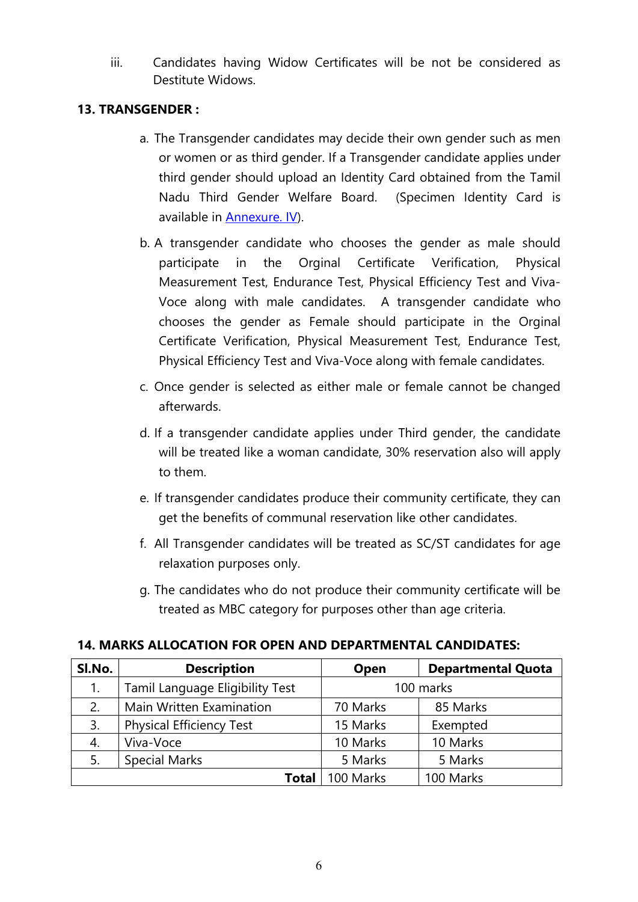iii. Candidates having Widow Certificates will be not be considered as Destitute Widows.

### **13. TRANSGENDER :**

- a. The Transgender candidates may decide their own gender such as men or women or as third gender. If a Transgender candidate applies under third gender should upload an Identity Card obtained from the Tamil Nadu Third Gender Welfare Board. (Specimen Identity Card is available in [Annexure. IV\)](#page-31-0).
- b. A transgender candidate who chooses the gender as male should participate in the Orginal Certificate Verification, Physical Measurement Test, Endurance Test, Physical Efficiency Test and Viva-Voce along with male candidates. A transgender candidate who chooses the gender as Female should participate in the Orginal Certificate Verification, Physical Measurement Test, Endurance Test, Physical Efficiency Test and Viva-Voce along with female candidates.
- c. Once gender is selected as either male or female cannot be changed afterwards.
- d. If a transgender candidate applies under Third gender, the candidate will be treated like a woman candidate, 30% reservation also will apply to them.
- e. If transgender candidates produce their community certificate, they can get the benefits of communal reservation like other candidates.
- f. All Transgender candidates will be treated as SC/ST candidates for age relaxation purposes only.
- g. The candidates who do not produce their community certificate will be treated as MBC category for purposes other than age criteria.

#### **14. MARKS ALLOCATION FOR OPEN AND DEPARTMENTAL CANDIDATES:**

| Sl.No.                                | <b>Description</b>              | Open      | <b>Departmental Quota</b> |
|---------------------------------------|---------------------------------|-----------|---------------------------|
| Tamil Language Eligibility Test<br>1. |                                 | 100 marks |                           |
| Main Written Examination<br>2.        |                                 | 70 Marks  | 85 Marks                  |
| 3.                                    | <b>Physical Efficiency Test</b> | 15 Marks  | Exempted                  |
| Viva-Voce<br>4.                       |                                 | 10 Marks  | 10 Marks                  |
| <b>Special Marks</b><br>5.            |                                 | 5 Marks   | 5 Marks                   |
|                                       | <b>Total</b>                    | 100 Marks | 100 Marks                 |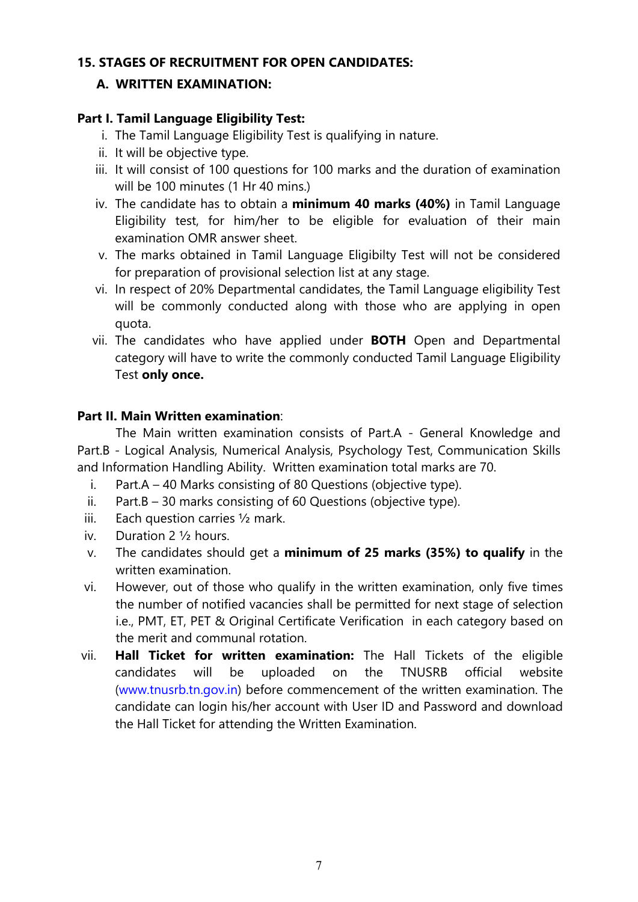#### **15. STAGES OF RECRUITMENT FOR OPEN CANDIDATES:**

### **A. WRITTEN EXAMINATION:**

### **Part I. Tamil Language Eligibility Test:**

- i. The Tamil Language Eligibility Test is qualifying in nature.
- ii. It will be objective type.
- iii. It will consist of 100 questions for 100 marks and the duration of examination will be 100 minutes (1 Hr 40 mins.)
- iv. The candidate has to obtain a **minimum 40 marks (40%)** in Tamil Language Eligibility test, for him/her to be eligible for evaluation of their main examination OMR answer sheet.
- v. The marks obtained in Tamil Language Eligibilty Test will not be considered for preparation of provisional selection list at any stage.
- vi. In respect of 20% Departmental candidates, the Tamil Language eligibility Test will be commonly conducted along with those who are applying in open quota.
- vii. The candidates who have applied under **BOTH** Open and Departmental category will have to write the commonly conducted Tamil Language Eligibility Test **only once.**

### **Part II. Main Written examination**:

The Main written examination consists of Part.A - General Knowledge and Part.B - Logical Analysis, Numerical Analysis, Psychology Test, Communication Skills and Information Handling Ability. Written examination total marks are 70.

- i. Part.A 40 Marks consisting of 80 Questions (objective type).
- ii. Part.B 30 marks consisting of 60 Questions (objective type).
- iii. Each question carries ½ mark.
- iv. Duration 2 ½ hours.
- v. The candidates should get a **minimum of 25 marks (35%) to qualify** in the written examination.
- vi. However, out of those who qualify in the written examination, only five times the number of notified vacancies shall be permitted for next stage of selection i.e., PMT, ET, PET & Original Certificate Verification in each category based on the merit and communal rotation.
- vii. **Hall Ticket for written examination:** The Hall Tickets of the eligible candidates will be uploaded on the TNUSRB official website [\(www.tnusrb.tn.gov.in\)](http://www.tnusrb.tn.gov.in/) before commencement of the written examination. The candidate can login his/her account with User ID and Password and download the Hall Ticket for attending the Written Examination.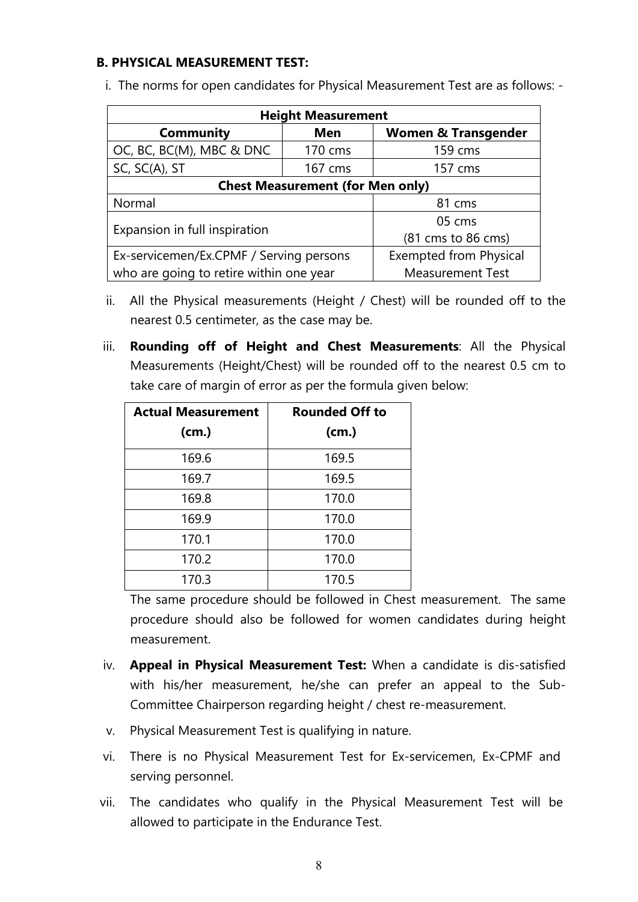#### **B. PHYSICAL MEASUREMENT TEST:**

|  |  | i. The norms for open candidates for Physical Measurement Test are as follows: - |  |
|--|--|----------------------------------------------------------------------------------|--|
|  |  |                                                                                  |  |

| <b>Height Measurement</b>               |            |                                                  |  |  |
|-----------------------------------------|------------|--------------------------------------------------|--|--|
| Community                               | <b>Men</b> | <b>Women &amp; Transgender</b>                   |  |  |
| OC, BC, BC(M), MBC & DNC                | 170 cms    | 159 cms                                          |  |  |
| SC, SC(A), ST                           | 167 cms    | 157 cms                                          |  |  |
| <b>Chest Measurement (for Men only)</b> |            |                                                  |  |  |
| Normal                                  |            | 81 cms                                           |  |  |
|                                         |            | 05 cms                                           |  |  |
| Expansion in full inspiration           |            | $(81 \text{ cm} \cdot \text{to } 86 \text{ cm})$ |  |  |
| Ex-servicemen/Ex.CPMF / Serving persons |            | <b>Exempted from Physical</b>                    |  |  |
| who are going to retire within one year |            | <b>Measurement Test</b>                          |  |  |

- ii. All the Physical measurements (Height / Chest) will be rounded off to the nearest 0.5 centimeter, as the case may be.
- iii. **Rounding off of Height and Chest Measurements**: All the Physical Measurements (Height/Chest) will be rounded off to the nearest 0.5 cm to take care of margin of error as per the formula given below:

| <b>Actual Measurement</b> | <b>Rounded Off to</b> |
|---------------------------|-----------------------|
| (cm.)                     | (cm.)                 |
| 169.6                     | 169.5                 |
| 169.7                     | 169.5                 |
| 169.8                     | 170.0                 |
| 169.9                     | 170.0                 |
| 170.1                     | 170.0                 |
| 170.2                     | 170.0                 |
| 170.3                     | 170.5                 |

The same procedure should be followed in Chest measurement. The same procedure should also be followed for women candidates during height measurement.

- iv. **Appeal in Physical Measurement Test:** When a candidate is dis-satisfied with his/her measurement, he/she can prefer an appeal to the Sub-Committee Chairperson regarding height / chest re-measurement.
- v. Physical Measurement Test is qualifying in nature.
- vi. There is no Physical Measurement Test for Ex-servicemen, Ex-CPMF and serving personnel.
- vii. The candidates who qualify in the Physical Measurement Test will be allowed to participate in the Endurance Test.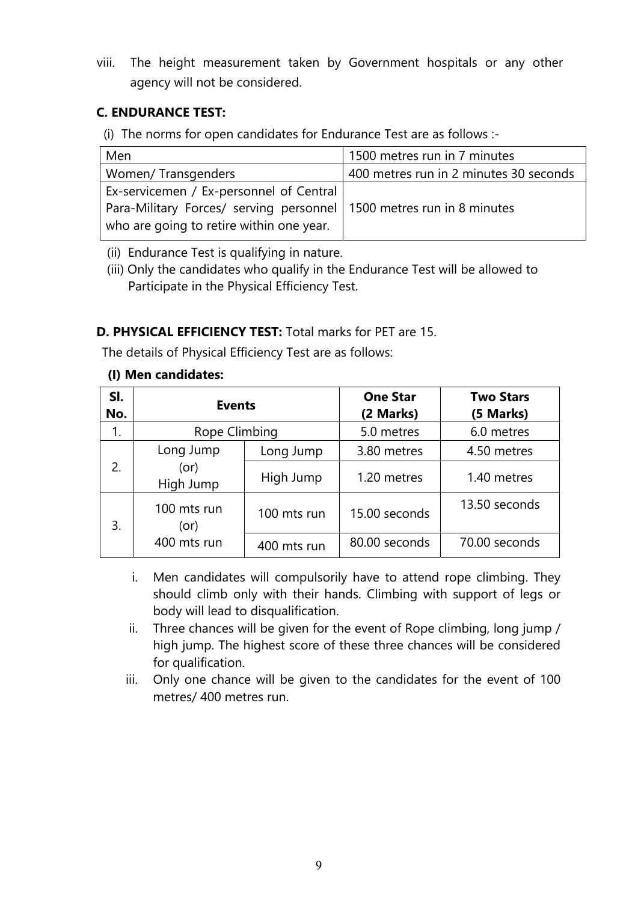viii. The height measurement taken by Government hospitals or any other agency will not be considered.

# **C. ENDURANCE TEST:**

(i) The norms for open candidates for Endurance Test are as follows :-

| Men                                                                    | 1500 metres run in 7 minutes           |
|------------------------------------------------------------------------|----------------------------------------|
| Women/ Transgenders                                                    | 400 metres run in 2 minutes 30 seconds |
| Ex-servicemen / Ex-personnel of Central                                |                                        |
| Para-Military Forces/ serving personnel   1500 metres run in 8 minutes |                                        |
| who are going to retire within one year.                               |                                        |

(ii) Endurance Test is qualifying in nature.

 (iii) Only the candidates who qualify in the Endurance Test will be allowed to Participate in the Physical Efficiency Test.

# **D. PHYSICAL EFFICIENCY TEST:** Total marks for PET are 15.

The details of Physical Efficiency Test are as follows:

### **(I) Men candidates:**

| SI.<br>No. | <b>Events</b>              |               | <b>One Star</b><br>(2 Marks) | <b>Two Stars</b><br>(5 Marks) |
|------------|----------------------------|---------------|------------------------------|-------------------------------|
| 1.         | Rope Climbing              |               | 5.0 metres                   | 6.0 metres                    |
|            | Long Jump                  | Long Jump     | 3.80 metres                  | 4.50 metres                   |
| 2.         | (or)<br>High Jump          | High Jump     | 1.20 metres                  | 1.40 metres                   |
| 3.         | 100 mts run<br>(or)        | 100 mts run   | 15.00 seconds                | 13.50 seconds                 |
|            | 400 mts run<br>400 mts run | 80.00 seconds | 70.00 seconds                |                               |

- i. Men candidates will compulsorily have to attend rope climbing. They should climb only with their hands. Climbing with support of legs or body will lead to disqualification.
- ii. Three chances will be given for the event of Rope climbing, long jump / high jump. The highest score of these three chances will be considered for qualification.
- iii. Only one chance will be given to the candidates for the event of 100 metres/ 400 metres run.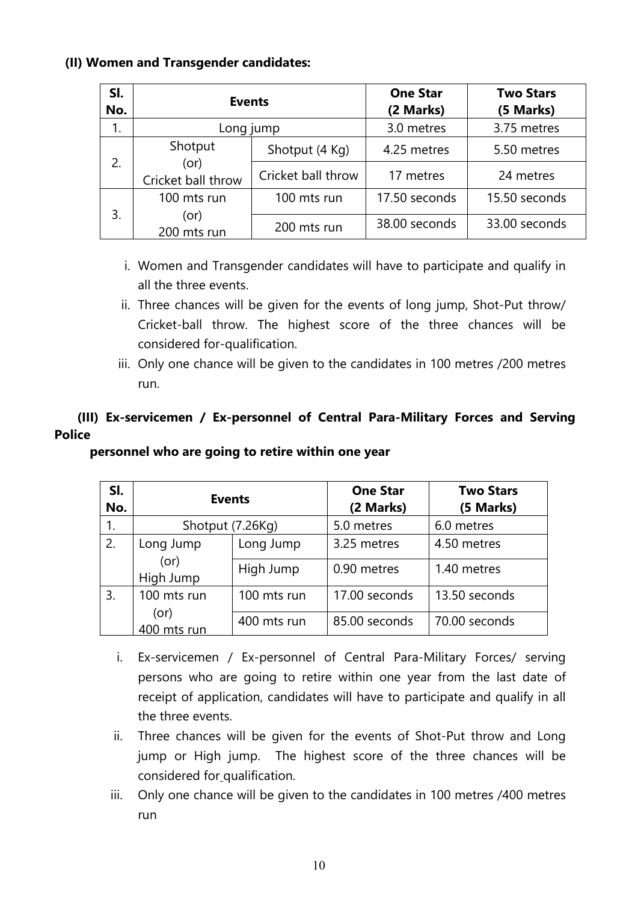#### **(II) Women and Transgender candidates:**

| SI.<br>No. | <b>Events</b>                      |                    | <b>One Star</b><br>(2 Marks) | <b>Two Stars</b><br>(5 Marks) |
|------------|------------------------------------|--------------------|------------------------------|-------------------------------|
|            | Long jump                          |                    | 3.0 metres                   | 3.75 metres                   |
|            | Shotput                            | Shotput (4 Kg)     | 4.25 metres                  | 5.50 metres                   |
| 2.         | (or)<br>Cricket ball throw         | Cricket ball throw | 17 metres                    | 24 metres                     |
|            | 100 mts run                        | 100 mts run        | 17.50 seconds                | 15.50 seconds                 |
| 3.         | (or)<br>200 mts run<br>200 mts run |                    | 38.00 seconds                | 33.00 seconds                 |

- i. Women and Transgender candidates will have to participate and qualify in all the three events.
- ii. Three chances will be given for the events of long jump, Shot-Put throw/ Cricket-ball throw. The highest score of the three chances will be considered for-qualification.
- iii. Only one chance will be given to the candidates in 100 metres /200 metres run.

# **(III) Ex-servicemen / Ex-personnel of Central Para-Military Forces and Serving Police**

#### **personnel who are going to retire within one year**

| SI.<br>No. | <b>Events</b>       |             | <b>One Star</b><br>(2 Marks) | <b>Two Stars</b><br>(5 Marks) |
|------------|---------------------|-------------|------------------------------|-------------------------------|
| 1.         | Shotput (7.26Kg)    |             | 5.0 metres                   | 6.0 metres                    |
| 2.         | Long Jump           | Long Jump   | 3.25 metres                  | 4.50 metres                   |
|            | (or)<br>High Jump   | High Jump   | 0.90 metres                  | 1.40 metres                   |
| 3.         | 100 mts run         | 100 mts run | 17.00 seconds                | 13.50 seconds                 |
|            | (or)<br>400 mts run | 400 mts run | 85.00 seconds                | 70.00 seconds                 |

- i. Ex-servicemen / Ex-personnel of Central Para-Military Forces/ serving persons who are going to retire within one year from the last date of receipt of application, candidates will have to participate and qualify in all the three events.
- ii. Three chances will be given for the events of Shot-Put throw and Long jump or High jump. The highest score of the three chances will be considered for qualification.
- iii. Only one chance will be given to the candidates in 100 metres /400 metres run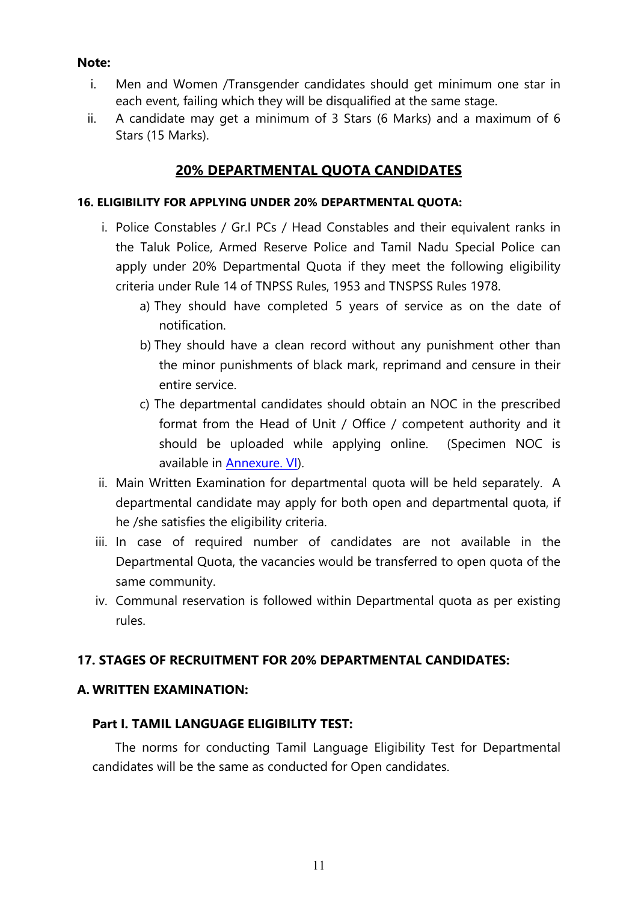#### <span id="page-10-0"></span>**Note:**

- i. Men and Women /Transgender candidates should get minimum one star in each event, failing which they will be disqualified at the same stage.
- ii. A candidate may get a minimum of 3 Stars (6 Marks) and a maximum of 6 Stars (15 Marks).

# **20% DEPARTMENTAL QUOTA CANDIDATES**

#### **16. ELIGIBILITY FOR APPLYING UNDER 20% DEPARTMENTAL QUOTA:**

- i. Police Constables / Gr.I PCs / Head Constables and their equivalent ranks in the Taluk Police, Armed Reserve Police and Tamil Nadu Special Police can apply under 20% Departmental Quota if they meet the following eligibility criteria under Rule 14 of TNPSS Rules, 1953 and TNSPSS Rules 1978.
	- a) They should have completed 5 years of service as on the date of notification.
	- b) They should have a clean record without any punishment other than the minor punishments of black mark, reprimand and censure in their entire service.
	- c) The departmental candidates should obtain an NOC in the prescribed format from the Head of Unit / Office / competent authority and it should be uploaded while applying online. (Specimen NOC is available in [Annexure. VI\)](#page-33-0).
- ii. Main Written Examination for departmental quota will be held separately. A departmental candidate may apply for both open and departmental quota, if he /she satisfies the eligibility criteria.
- iii. In case of required number of candidates are not available in the Departmental Quota, the vacancies would be transferred to open quota of the same community.
- iv. Communal reservation is followed within Departmental quota as per existing rules.

# **17. STAGES OF RECRUITMENT FOR 20% DEPARTMENTAL CANDIDATES:**

#### **A. WRITTEN EXAMINATION:**

#### **Part I. TAMIL LANGUAGE ELIGIBILITY TEST:**

The norms for conducting Tamil Language Eligibility Test for Departmental candidates will be the same as conducted for Open candidates.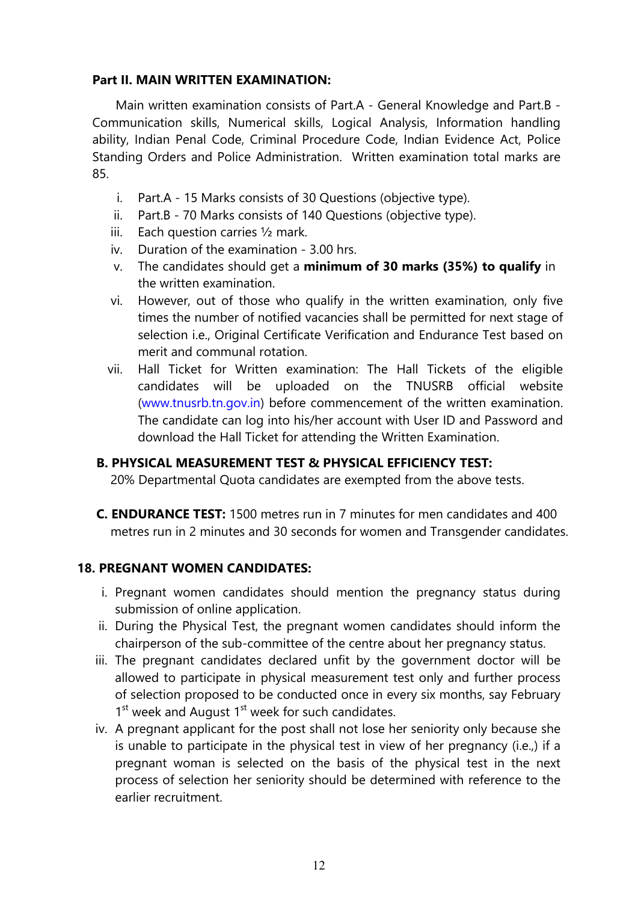#### **Part II. MAIN WRITTEN EXAMINATION:**

Main written examination consists of Part.A - General Knowledge and Part.B - Communication skills, Numerical skills, Logical Analysis, Information handling ability, Indian Penal Code, Criminal Procedure Code, Indian Evidence Act, Police Standing Orders and Police Administration. Written examination total marks are 85.

- i. Part.A 15 Marks consists of 30 Questions (objective type).
- ii. Part.B 70 Marks consists of 140 Questions (objective type).
- iii. Each question carries ½ mark.
- iv. Duration of the examination 3.00 hrs.
- v. The candidates should get a **minimum of 30 marks (35%) to qualify** in the written examination.
- vi. However, out of those who qualify in the written examination, only five times the number of notified vacancies shall be permitted for next stage of selection i.e., Original Certificate Verification and Endurance Test based on merit and communal rotation.
- vii. Hall Ticket for Written examination: The Hall Tickets of the eligible candidates will be uploaded on the TNUSRB official website [\(www.tnusrb.tn.gov.in](http://www.tnusrb.tn.gov.in/)) before commencement of the written examination. The candidate can log into his/her account with User ID and Password and download the Hall Ticket for attending the Written Examination.

#### **B. PHYSICAL MEASUREMENT TEST & PHYSICAL EFFICIENCY TEST:**

20% Departmental Quota candidates are exempted from the above tests.

**C. ENDURANCE TEST:** 1500 metres run in 7 minutes for men candidates and 400 metres run in 2 minutes and 30 seconds for women and Transgender candidates.

#### **18. PREGNANT WOMEN CANDIDATES:**

- i. Pregnant women candidates should mention the pregnancy status during submission of online application.
- ii. During the Physical Test, the pregnant women candidates should inform the chairperson of the sub-committee of the centre about her pregnancy status.
- iii. The pregnant candidates declared unfit by the government doctor will be allowed to participate in physical measurement test only and further process of selection proposed to be conducted once in every six months, say February  $1<sup>st</sup>$  week and August  $1<sup>st</sup>$  week for such candidates.
- iv. A pregnant applicant for the post shall not lose her seniority only because she is unable to participate in the physical test in view of her pregnancy (i.e.,) if a pregnant woman is selected on the basis of the physical test in the next process of selection her seniority should be determined with reference to the earlier recruitment.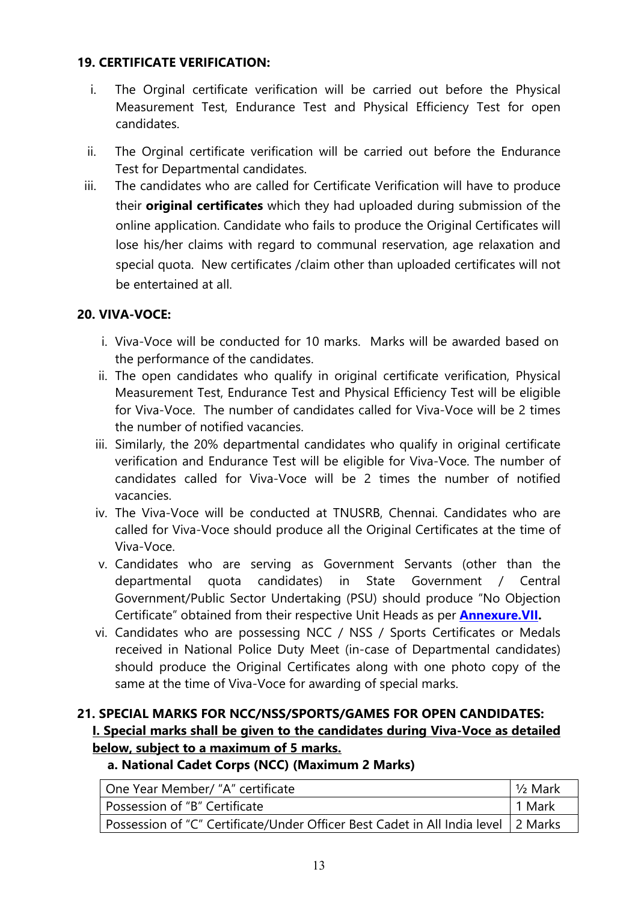### <span id="page-12-0"></span>**19. CERTIFICATE VERIFICATION:**

- i. The Orginal certificate verification will be carried out before the Physical Measurement Test, Endurance Test and Physical Efficiency Test for open candidates.
- ii. The Orginal certificate verification will be carried out before the Endurance Test for Departmental candidates.
- iii. The candidates who are called for Certificate Verification will have to produce their **original certificates** which they had uploaded during submission of the online application. Candidate who fails to produce the Original Certificates will lose his/her claims with regard to communal reservation, age relaxation and special quota. New certificates /claim other than uploaded certificates will not be entertained at all.

# **20. VIVA-VOCE:**

- i. Viva-Voce will be conducted for 10 marks. Marks will be awarded based on the performance of the candidates.
- ii. The open candidates who qualify in original certificate verification, Physical Measurement Test, Endurance Test and Physical Efficiency Test will be eligible for Viva-Voce. The number of candidates called for Viva-Voce will be 2 times the number of notified vacancies.
- iii. Similarly, the 20% departmental candidates who qualify in original certificate verification and Endurance Test will be eligible for Viva-Voce. The number of candidates called for Viva-Voce will be 2 times the number of notified vacancies.
- iv. The Viva-Voce will be conducted at TNUSRB, Chennai. Candidates who are called for Viva-Voce should produce all the Original Certificates at the time of Viva-Voce.
- v. Candidates who are serving as Government Servants (other than the departmental quota candidates) in State Government / Central Government/Public Sector Undertaking (PSU) should produce "No Objection Certificate" obtained from their respective Unit Heads as per **[Annexure.VII](#page-34-0).**
- vi. Candidates who are possessing NCC / NSS / Sports Certificates or Medals received in National Police Duty Meet (in-case of Departmental candidates) should produce the Original Certificates along with one photo copy of the same at the time of Viva-Voce for awarding of special marks.

# **21. SPECIAL MARKS FOR NCC/NSS/SPORTS/GAMES FOR OPEN CANDIDATES: I. Special marks shall be given to the candidates during Viva-Voce as detailed below, subject to a maximum of 5 marks.**

# **a. National Cadet Corps (NCC) (Maximum 2 Marks)**

| One Year Member/ "A" certificate                                                  | $\frac{1}{2}$ Mark |
|-----------------------------------------------------------------------------------|--------------------|
| Possession of "B" Certificate                                                     | 1 Mark             |
| Possession of "C" Certificate/Under Officer Best Cadet in All India level 2 Marks |                    |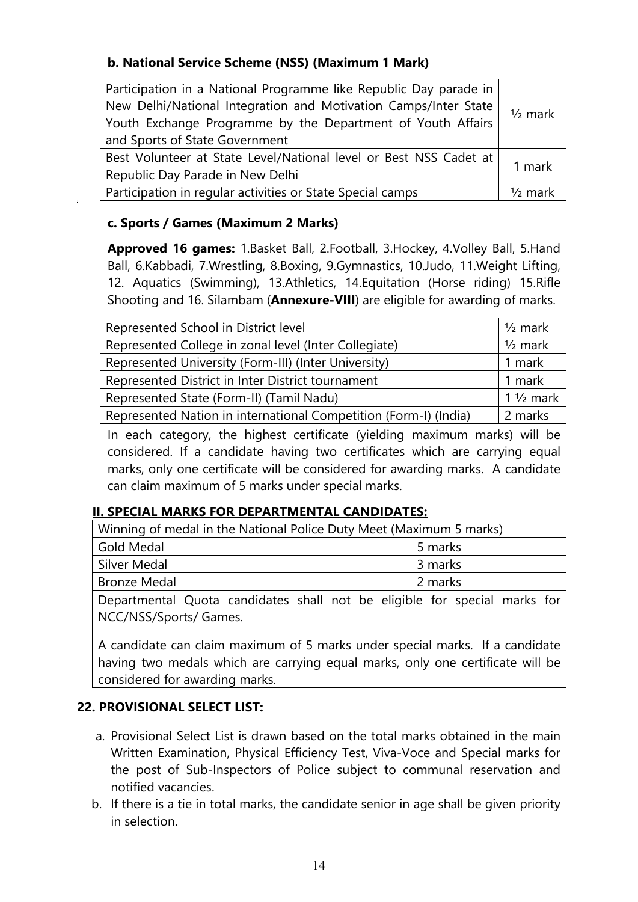### **b. National Service Scheme (NSS) (Maximum 1 Mark)**

| Participation in a National Programme like Republic Day parade in |                    |
|-------------------------------------------------------------------|--------------------|
| New Delhi/National Integration and Motivation Camps/Inter State   | $1/2$ mark         |
| Youth Exchange Programme by the Department of Youth Affairs       |                    |
| and Sports of State Government                                    |                    |
| Best Volunteer at State Level/National level or Best NSS Cadet at | 1 mark             |
| Republic Day Parade in New Delhi                                  |                    |
| Participation in regular activities or State Special camps        | $\frac{1}{2}$ mark |

#### **c. Sports / Games (Maximum 2 Marks)**

**Approved 16 games:** 1.Basket Ball, 2.Football, 3.Hockey, 4.Volley Ball, 5.Hand Ball, 6.Kabbadi, 7.Wrestling, 8.Boxing, 9.Gymnastics, 10.Judo, 11.Weight Lifting, 12. Aquatics (Swimming), 13.Athletics, 14.Equitation (Horse riding) 15.Rifle Shooting and 16. Silambam (**Annexure-VIII**) are eligible for awarding of marks.

| Represented School in District level                             | $1/2$ mark          |
|------------------------------------------------------------------|---------------------|
| Represented College in zonal level (Inter Collegiate)            | $1/2$ mark          |
| Represented University (Form-III) (Inter University)             | 1 mark              |
| Represented District in Inter District tournament                | 1 mark              |
| Represented State (Form-II) (Tamil Nadu)                         | $1\frac{1}{2}$ mark |
| Represented Nation in international Competition (Form-I) (India) | 2 marks             |

In each category, the highest certificate (yielding maximum marks) will be considered. If a candidate having two certificates which are carrying equal marks, only one certificate will be considered for awarding marks. A candidate can claim maximum of 5 marks under special marks.

#### **II. SPECIAL MARKS FOR DEPARTMENTAL CANDIDATES:**

| Winning of medal in the National Police Duty Meet (Maximum 5 marks) |         |
|---------------------------------------------------------------------|---------|
| Gold Medal                                                          | 5 marks |
| Silver Medal                                                        | 3 marks |
| <b>Bronze Medal</b>                                                 | 2 marks |
|                                                                     |         |

Departmental Quota candidates shall not be eligible for special marks for NCC/NSS/Sports/ Games.

A candidate can claim maximum of 5 marks under special marks. If a candidate having two medals which are carrying equal marks, only one certificate will be considered for awarding marks.

#### **22. PROVISIONAL SELECT LIST:**

- a. Provisional Select List is drawn based on the total marks obtained in the main Written Examination, Physical Efficiency Test, Viva-Voce and Special marks for the post of Sub-Inspectors of Police subject to communal reservation and notified vacancies.
- b. If there is a tie in total marks, the candidate senior in age shall be given priority in selection.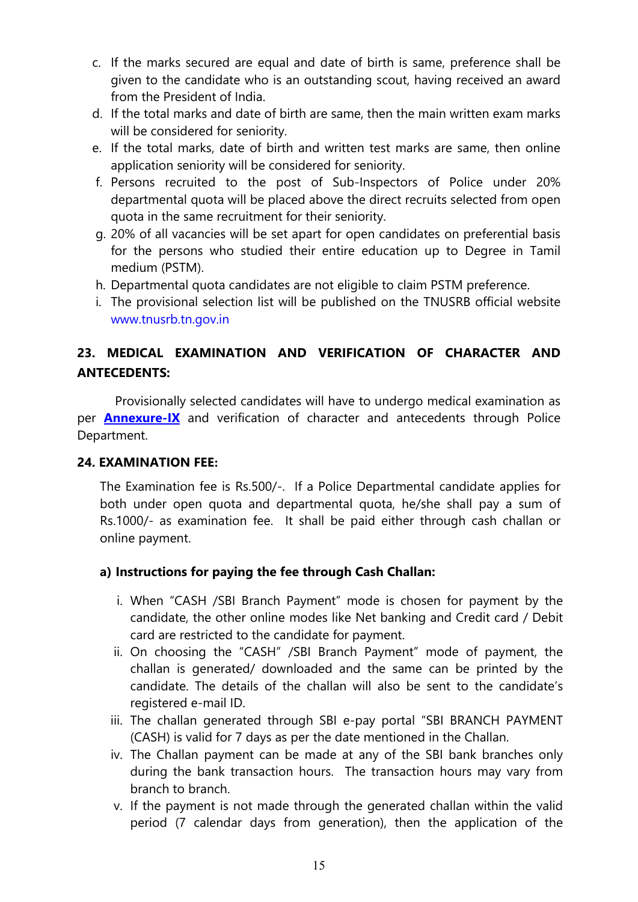- <span id="page-14-0"></span>c. If the marks secured are equal and date of birth is same, preference shall be given to the candidate who is an outstanding scout, having received an award from the President of India.
- d. If the total marks and date of birth are same, then the main written exam marks will be considered for seniority.
- e. If the total marks, date of birth and written test marks are same, then online application seniority will be considered for seniority.
- f. Persons recruited to the post of Sub-Inspectors of Police under 20% departmental quota will be placed above the direct recruits selected from open quota in the same recruitment for their seniority.
- g. 20% of all vacancies will be set apart for open candidates on preferential basis for the persons who studied their entire education up to Degree in Tamil medium (PSTM).
- h. Departmental quota candidates are not eligible to claim PSTM preference.
- i. The provisional selection list will be published on the TNUSRB official website [www.tnusrb.tn.gov.in](http://www.tnusrb.tn.gov.in/)

# **23. MEDICAL EXAMINATION AND VERIFICATION OF CHARACTER AND ANTECEDENTS:**

 Provisionally selected candidates will have to undergo medical examination as per **[Annexure-IX](#page-36-0)** and verification of character and antecedents through Police Department.

#### **24. EXAMINATION FEE:**

The Examination fee is Rs.500/-. If a Police Departmental candidate applies for both under open quota and departmental quota, he/she shall pay a sum of Rs.1000/- as examination fee. It shall be paid either through cash challan or online payment.

# **a) Instructions for paying the fee through Cash Challan:**

- i. When "CASH /SBI Branch Payment" mode is chosen for payment by the candidate, the other online modes like Net banking and Credit card / Debit card are restricted to the candidate for payment.
- ii. On choosing the "CASH" /SBI Branch Payment" mode of payment, the challan is generated/ downloaded and the same can be printed by the candidate. The details of the challan will also be sent to the candidate's registered e-mail ID.
- iii. The challan generated through SBI e-pay portal "SBI BRANCH PAYMENT (CASH) is valid for 7 days as per the date mentioned in the Challan.
- iv. The Challan payment can be made at any of the SBI bank branches only during the bank transaction hours. The transaction hours may vary from branch to branch.
- v. If the payment is not made through the generated challan within the valid period (7 calendar days from generation), then the application of the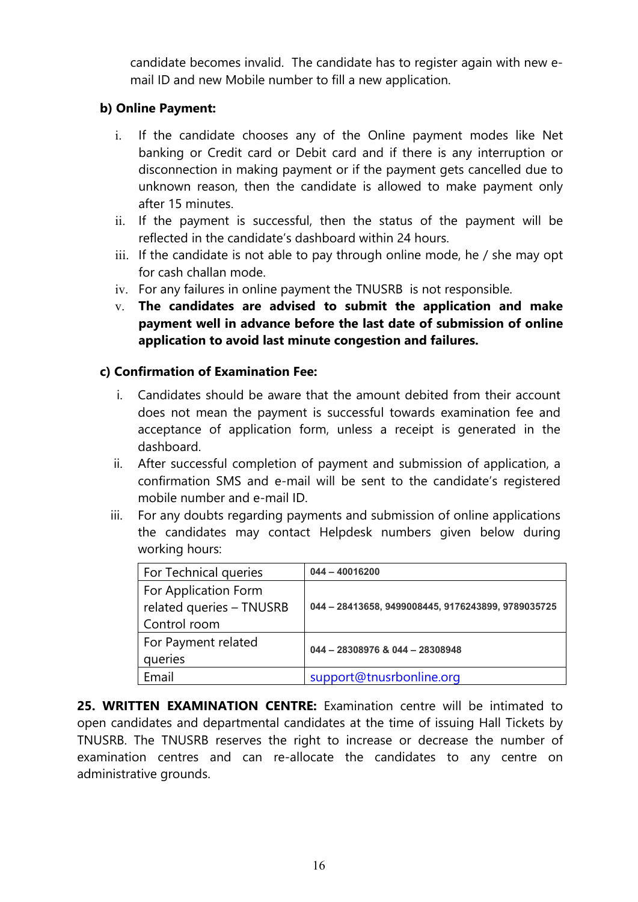candidate becomes invalid. The candidate has to register again with new email ID and new Mobile number to fill a new application.

### **b) Online Payment:**

- i. If the candidate chooses any of the Online payment modes like Net banking or Credit card or Debit card and if there is any interruption or disconnection in making payment or if the payment gets cancelled due to unknown reason, then the candidate is allowed to make payment only after 15 minutes.
- ii. If the payment is successful, then the status of the payment will be reflected in the candidate's dashboard within 24 hours.
- iii. If the candidate is not able to pay through online mode, he / she may opt for cash challan mode.
- iv. For any failures in online payment the TNUSRB is not responsible.
- v. **The candidates are advised to submit the application and make payment well in advance before the last date of submission of online application to avoid last minute congestion and failures.**

### **c) Confirmation of Examination Fee:**

- i. Candidates should be aware that the amount debited from their account does not mean the payment is successful towards examination fee and acceptance of application form, unless a receipt is generated in the dashboard.
- ii. After successful completion of payment and submission of application, a confirmation SMS and e-mail will be sent to the candidate's registered mobile number and e-mail ID.
- iii. For any doubts regarding payments and submission of online applications the candidates may contact Helpdesk numbers given below during working hours:

| For Technical queries    | $044 - 40016200$                                   |  |
|--------------------------|----------------------------------------------------|--|
| For Application Form     |                                                    |  |
| related queries - TNUSRB | 044 - 28413658, 9499008445, 9176243899, 9789035725 |  |
| Control room             |                                                    |  |
| For Payment related      | 044 - 28308976 & 044 - 28308948                    |  |
| queries                  |                                                    |  |
| Email                    | support@tnusrbonline.org                           |  |

**25. WRITTEN EXAMINATION CENTRE:** Examination centre will be intimated to open candidates and departmental candidates at the time of issuing Hall Tickets by TNUSRB. The TNUSRB reserves the right to increase or decrease the number of examination centres and can re-allocate the candidates to any centre on administrative grounds.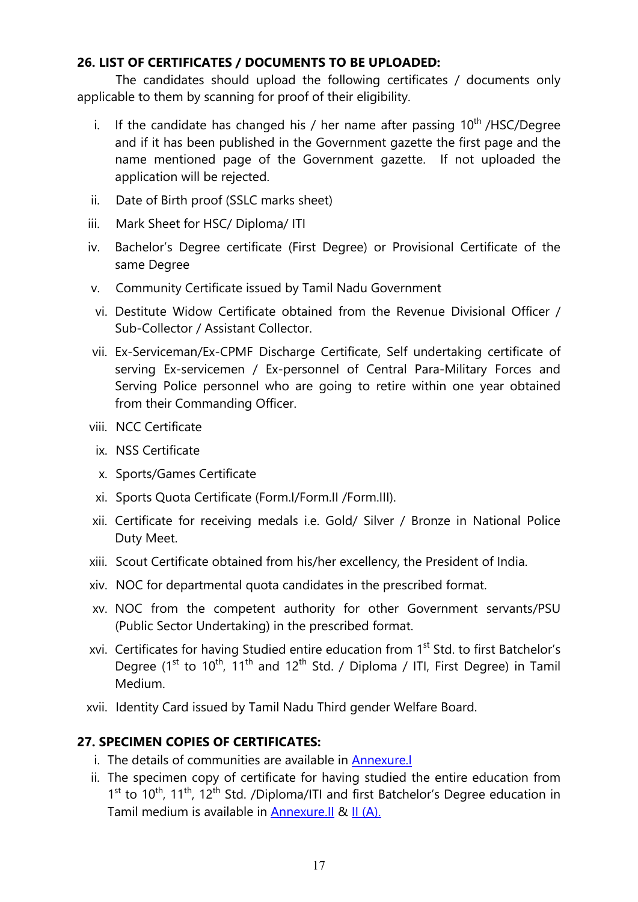#### **26. LIST OF CERTIFICATES / DOCUMENTS TO BE UPLOADED:**

 The candidates should upload the following certificates / documents only applicable to them by scanning for proof of their eligibility.

- i. If the candidate has changed his / her name after passing  $10<sup>th</sup>$  /HSC/Degree and if it has been published in the Government gazette the first page and the name mentioned page of the Government gazette. If not uploaded the application will be rejected.
- ii. Date of Birth proof (SSLC marks sheet)
- iii. Mark Sheet for HSC/ Diploma/ ITI
- iv. Bachelor's Degree certificate (First Degree) or Provisional Certificate of the same Degree
- v. Community Certificate issued by Tamil Nadu Government
- vi. Destitute Widow Certificate obtained from the Revenue Divisional Officer / Sub-Collector / Assistant Collector.
- vii. Ex-Serviceman/Ex-CPMF Discharge Certificate, Self undertaking certificate of serving Ex-servicemen / Ex-personnel of Central Para-Military Forces and Serving Police personnel who are going to retire within one year obtained from their Commanding Officer.
- viii. NCC Certificate
- ix. NSS Certificate
- x. Sports/Games Certificate
- xi. Sports Quota Certificate (Form.I/Form.II /Form.III).
- xii. Certificate for receiving medals i.e. Gold/ Silver / Bronze in National Police Duty Meet.
- xiii. Scout Certificate obtained from his/her excellency, the President of India.
- xiv. NOC for departmental quota candidates in the prescribed format.
- xv. NOC from the competent authority for other Government servants/PSU (Public Sector Undertaking) in the prescribed format.
- xvi. Certificates for having Studied entire education from 1<sup>st</sup> Std. to first Batchelor's Degree (1<sup>st</sup> to 10<sup>th</sup>, 11<sup>th</sup> and 12<sup>th</sup> Std. / Diploma / ITI, First Degree) in Tamil Medium.
- xvii. Identity Card issued by Tamil Nadu Third gender Welfare Board.

# **27. SPECIMEN COPIES OF CERTIFICATES:**

- i. The details of communities are available in [Annexure.I](#page-0-0)
- ii. The specimen copy of certificate for having studied the entire education from  $1<sup>st</sup>$  to  $10<sup>th</sup>$ ,  $11<sup>th</sup>$ ,  $12<sup>th</sup>$  Std. /Diploma/ITI and first Batchelor's Degree education in Tamil medium is available in [Annexure.II](#page-28-0) & [II \(A\).](#page-29-0)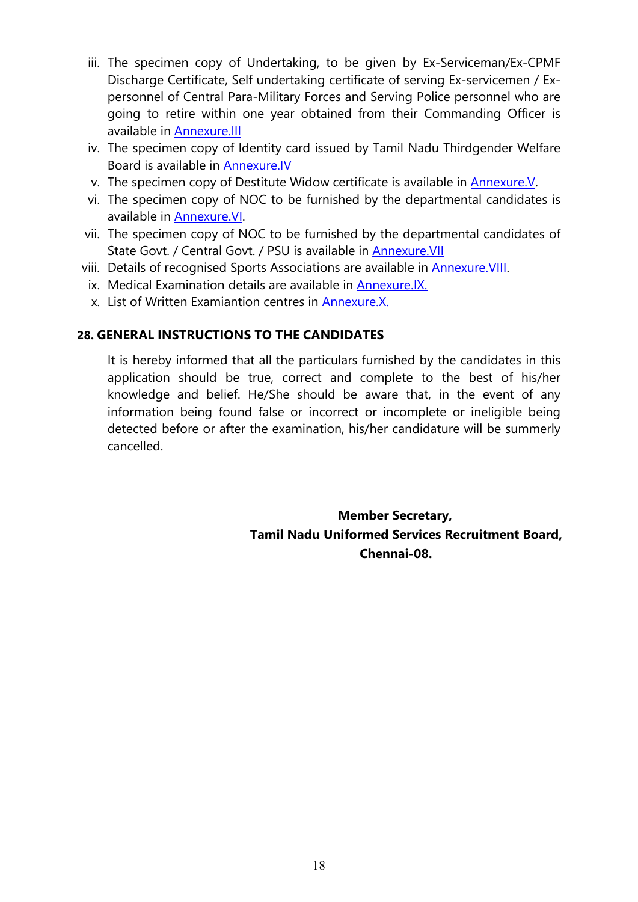- iii. The specimen copy of Undertaking, to be given by Ex-Serviceman/Ex-CPMF Discharge Certificate, Self undertaking certificate of serving Ex-servicemen / Expersonnel of Central Para-Military Forces and Serving Police personnel who are going to retire within one year obtained from their Commanding Officer is available in [Annexure.III](#page-30-0)
- iv. The specimen copy of Identity card issued by Tamil Nadu Thirdgender Welfare Board is available in [Annexure.IV](#page-31-0)
- v. The specimen copy of Destitute Widow certificate is available in [Annexure.V.](#page-32-0)
- vi. The specimen copy of NOC to be furnished by the departmental candidates is available in [Annexure.VI](#page-33-0).
- vii. The specimen copy of NOC to be furnished by the departmental candidates of State Govt. / Central Govt. / PSU is available in Annexure. VII
- viii. Details of recognised Sports Associations are available in [Annexure.VIII.](#page-35-0)
	- ix. Medical Examination details are available in [Annexure.IX.](#page-36-0)
	- x. List of Written Examiantion centres in Annexure.X.

#### **28. GENERAL INSTRUCTIONS TO THE CANDIDATES**

It is hereby informed that all the particulars furnished by the candidates in this application should be true, correct and complete to the best of his/her knowledge and belief. He/She should be aware that, in the event of any information being found false or incorrect or incomplete or ineligible being detected before or after the examination, his/her candidature will be summerly cancelled.

> **Member Secretary, Tamil Nadu Uniformed Services Recruitment Board, Chennai-08.**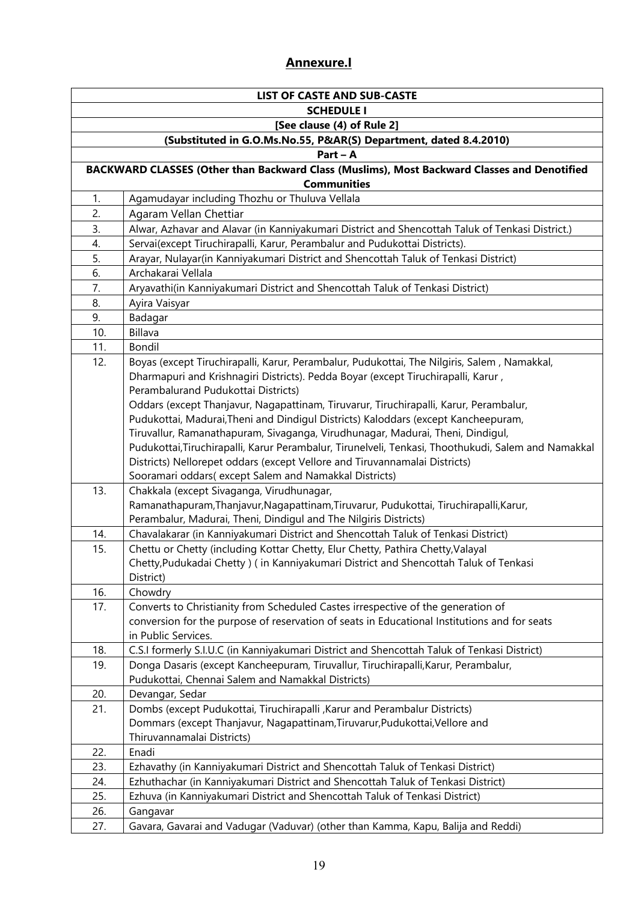# **Annexure.I**

| <b>LIST OF CASTE AND SUB-CASTE</b> |                                                                                                     |  |  |
|------------------------------------|-----------------------------------------------------------------------------------------------------|--|--|
| <b>SCHEDULE I</b>                  |                                                                                                     |  |  |
| [See clause (4) of Rule 2]         |                                                                                                     |  |  |
|                                    | (Substituted in G.O.Ms.No.55, P&AR(S) Department, dated 8.4.2010)                                   |  |  |
|                                    | $Part - A$                                                                                          |  |  |
|                                    | BACKWARD CLASSES (Other than Backward Class (Muslims), Most Backward Classes and Denotified         |  |  |
|                                    | <b>Communities</b>                                                                                  |  |  |
| 1.                                 | Agamudayar including Thozhu or Thuluva Vellala                                                      |  |  |
| 2.                                 | Agaram Vellan Chettiar                                                                              |  |  |
| 3.                                 | Alwar, Azhavar and Alavar (in Kanniyakumari District and Shencottah Taluk of Tenkasi District.)     |  |  |
| 4.                                 | Servai(except Tiruchirapalli, Karur, Perambalur and Pudukottai Districts).                          |  |  |
| 5.                                 | Arayar, Nulayar(in Kanniyakumari District and Shencottah Taluk of Tenkasi District)                 |  |  |
| 6.                                 | Archakarai Vellala                                                                                  |  |  |
| 7.                                 | Aryavathi(in Kanniyakumari District and Shencottah Taluk of Tenkasi District)                       |  |  |
| 8.                                 | Ayira Vaisyar                                                                                       |  |  |
| 9.                                 | Badagar                                                                                             |  |  |
| 10.                                | Billava                                                                                             |  |  |
| 11.                                | Bondil                                                                                              |  |  |
| 12.                                | Boyas (except Tiruchirapalli, Karur, Perambalur, Pudukottai, The Nilgiris, Salem, Namakkal,         |  |  |
|                                    | Dharmapuri and Krishnagiri Districts). Pedda Boyar (except Tiruchirapalli, Karur,                   |  |  |
|                                    | Perambalurand Pudukottai Districts)                                                                 |  |  |
|                                    | Oddars (except Thanjavur, Nagapattinam, Tiruvarur, Tiruchirapalli, Karur, Perambalur,               |  |  |
|                                    | Pudukottai, Madurai, Theni and Dindigul Districts) Kaloddars (except Kancheepuram,                  |  |  |
|                                    | Tiruvallur, Ramanathapuram, Sivaganga, Virudhunagar, Madurai, Theni, Dindigul,                      |  |  |
|                                    | Pudukottai, Tiruchirapalli, Karur Perambalur, Tirunelveli, Tenkasi, Thoothukudi, Salem and Namakkal |  |  |
|                                    | Districts) Nellorepet oddars (except Vellore and Tiruvannamalai Districts)                          |  |  |
|                                    | Sooramari oddars(except Salem and Namakkal Districts)                                               |  |  |
| 13.                                | Chakkala (except Sivaganga, Virudhunagar,                                                           |  |  |
|                                    | Ramanathapuram, Thanjavur, Nagapattinam, Tiruvarur, Pudukottai, Tiruchirapalli, Karur,              |  |  |
|                                    | Perambalur, Madurai, Theni, Dindigul and The Nilgiris Districts)                                    |  |  |
| 14.                                | Chavalakarar (in Kanniyakumari District and Shencottah Taluk of Tenkasi District)                   |  |  |
| 15.                                | Chettu or Chetty (including Kottar Chetty, Elur Chetty, Pathira Chetty, Valayal                     |  |  |
|                                    | Chetty, Pudukadai Chetty ) (in Kanniyakumari District and Shencottah Taluk of Tenkasi               |  |  |
|                                    | District)                                                                                           |  |  |
| 16.                                | Chowdry                                                                                             |  |  |
| 17.                                | Converts to Christianity from Scheduled Castes irrespective of the generation of                    |  |  |
|                                    | conversion for the purpose of reservation of seats in Educational Institutions and for seats        |  |  |
|                                    | in Public Services.                                                                                 |  |  |
| 18.                                | C.S.I formerly S.I.U.C (in Kanniyakumari District and Shencottah Taluk of Tenkasi District)         |  |  |
| 19.                                | Donga Dasaris (except Kancheepuram, Tiruvallur, Tiruchirapalli, Karur, Perambalur,                  |  |  |
|                                    | Pudukottai, Chennai Salem and Namakkal Districts)                                                   |  |  |
| 20.                                | Devangar, Sedar                                                                                     |  |  |
| 21.                                | Dombs (except Pudukottai, Tiruchirapalli, Karur and Perambalur Districts)                           |  |  |
|                                    | Dommars (except Thanjavur, Nagapattinam, Tiruvarur, Pudukottai, Vellore and                         |  |  |
|                                    | Thiruvannamalai Districts)                                                                          |  |  |
| 22.                                | Enadi                                                                                               |  |  |
| 23.                                | Ezhavathy (in Kanniyakumari District and Shencottah Taluk of Tenkasi District)                      |  |  |
| 24.                                | Ezhuthachar (in Kanniyakumari District and Shencottah Taluk of Tenkasi District)                    |  |  |
| 25.                                | Ezhuva (in Kanniyakumari District and Shencottah Taluk of Tenkasi District)                         |  |  |
| 26.                                | Gangavar                                                                                            |  |  |
| 27.                                | Gavara, Gavarai and Vadugar (Vaduvar) (other than Kamma, Kapu, Balija and Reddi)                    |  |  |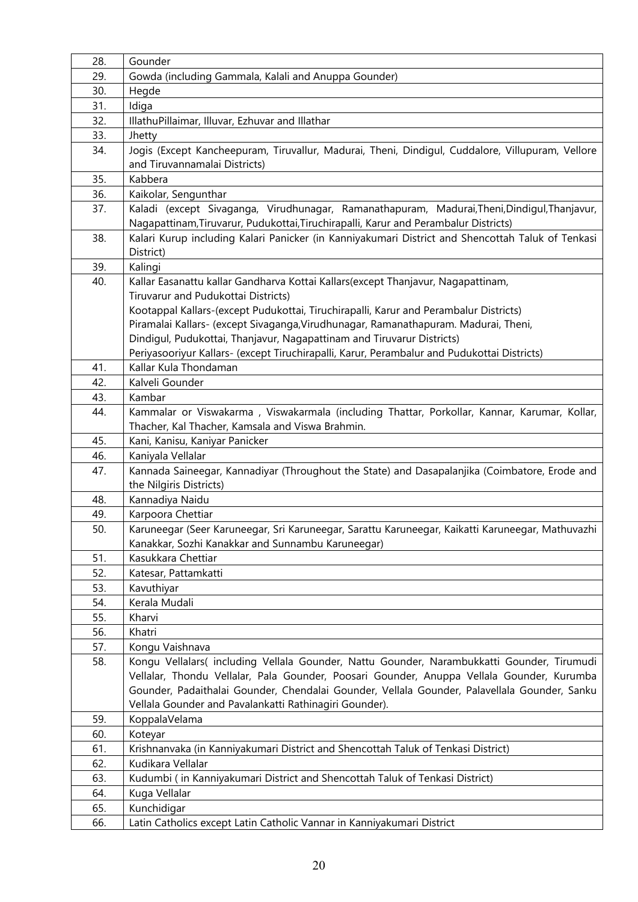| 28.        | Gounder                                                                                                                                                                              |
|------------|--------------------------------------------------------------------------------------------------------------------------------------------------------------------------------------|
| 29.        | Gowda (including Gammala, Kalali and Anuppa Gounder)                                                                                                                                 |
| 30.        | Hegde                                                                                                                                                                                |
| 31.        | Idiga                                                                                                                                                                                |
| 32.        | IllathuPillaimar, Illuvar, Ezhuvar and Illathar                                                                                                                                      |
| 33.        | Jhetty                                                                                                                                                                               |
| 34.        | Jogis (Except Kancheepuram, Tiruvallur, Madurai, Theni, Dindigul, Cuddalore, Villupuram, Vellore                                                                                     |
|            | and Tiruvannamalai Districts)                                                                                                                                                        |
| 35.        | Kabbera                                                                                                                                                                              |
| 36.        | Kaikolar, Sengunthar                                                                                                                                                                 |
| 37.        | Kaladi (except Sivaganga, Virudhunagar, Ramanathapuram, Madurai, Theni, Dindigul, Thanjavur,<br>Nagapattinam, Tiruvarur, Pudukottai, Tiruchirapalli, Karur and Perambalur Districts) |
| 38.        | Kalari Kurup including Kalari Panicker (in Kanniyakumari District and Shencottah Taluk of Tenkasi                                                                                    |
|            | District)                                                                                                                                                                            |
| 39.        | Kalingi                                                                                                                                                                              |
| 40.        | Kallar Easanattu kallar Gandharva Kottai Kallars(except Thanjavur, Nagapattinam,                                                                                                     |
|            | Tiruvarur and Pudukottai Districts)                                                                                                                                                  |
|            | Kootappal Kallars-(except Pudukottai, Tiruchirapalli, Karur and Perambalur Districts)                                                                                                |
|            | Piramalai Kallars- (except Sivaganga, Virudhunagar, Ramanathapuram. Madurai, Theni,                                                                                                  |
|            | Dindigul, Pudukottai, Thanjavur, Nagapattinam and Tiruvarur Districts)                                                                                                               |
|            | Periyasooriyur Kallars- (except Tiruchirapalli, Karur, Perambalur and Pudukottai Districts)                                                                                          |
| 41.        | Kallar Kula Thondaman                                                                                                                                                                |
| 42.        | Kalveli Gounder                                                                                                                                                                      |
| 43.        | Kambar                                                                                                                                                                               |
| 44.        | Kammalar or Viswakarma, Viswakarmala (including Thattar, Porkollar, Kannar, Karumar, Kollar,                                                                                         |
|            | Thacher, Kal Thacher, Kamsala and Viswa Brahmin.                                                                                                                                     |
| 45.        | Kani, Kanisu, Kaniyar Panicker                                                                                                                                                       |
| 46.        | Kaniyala Vellalar                                                                                                                                                                    |
| 47.        | Kannada Saineegar, Kannadiyar (Throughout the State) and Dasapalanjika (Coimbatore, Erode and                                                                                        |
|            | the Nilgiris Districts)                                                                                                                                                              |
| 48.        | Kannadiya Naidu                                                                                                                                                                      |
| 49.<br>50. | Karpoora Chettiar                                                                                                                                                                    |
|            | Karuneegar (Seer Karuneegar, Sri Karuneegar, Sarattu Karuneegar, Kaikatti Karuneegar, Mathuvazhi<br>Kanakkar, Sozhi Kanakkar and Sunnambu Karuneegar)                                |
| 51.        | Kasukkara Chettiar                                                                                                                                                                   |
| 52.        | Katesar, Pattamkatti                                                                                                                                                                 |
| 53.        | Kavuthiyar                                                                                                                                                                           |
| 54.        | Kerala Mudali                                                                                                                                                                        |
| 55.        | Kharvi                                                                                                                                                                               |
| 56.        | Khatri                                                                                                                                                                               |
| 57.        | Kongu Vaishnava                                                                                                                                                                      |
| 58.        | Kongu Vellalars( including Vellala Gounder, Nattu Gounder, Narambukkatti Gounder, Tirumudi                                                                                           |
|            | Vellalar, Thondu Vellalar, Pala Gounder, Poosari Gounder, Anuppa Vellala Gounder, Kurumba                                                                                            |
|            | Gounder, Padaithalai Gounder, Chendalai Gounder, Vellala Gounder, Palavellala Gounder, Sanku                                                                                         |
|            | Vellala Gounder and Pavalankatti Rathinagiri Gounder).                                                                                                                               |
| 59.<br>60. | KoppalaVelama<br>Koteyar                                                                                                                                                             |
| 61.        | Krishnanvaka (in Kanniyakumari District and Shencottah Taluk of Tenkasi District)                                                                                                    |
| 62.        | Kudikara Vellalar                                                                                                                                                                    |
| 63.        | Kudumbi (in Kanniyakumari District and Shencottah Taluk of Tenkasi District)                                                                                                         |
| 64.        | Kuga Vellalar                                                                                                                                                                        |
| 65.        | Kunchidigar                                                                                                                                                                          |
| 66.        | Latin Catholics except Latin Catholic Vannar in Kanniyakumari District                                                                                                               |
|            |                                                                                                                                                                                      |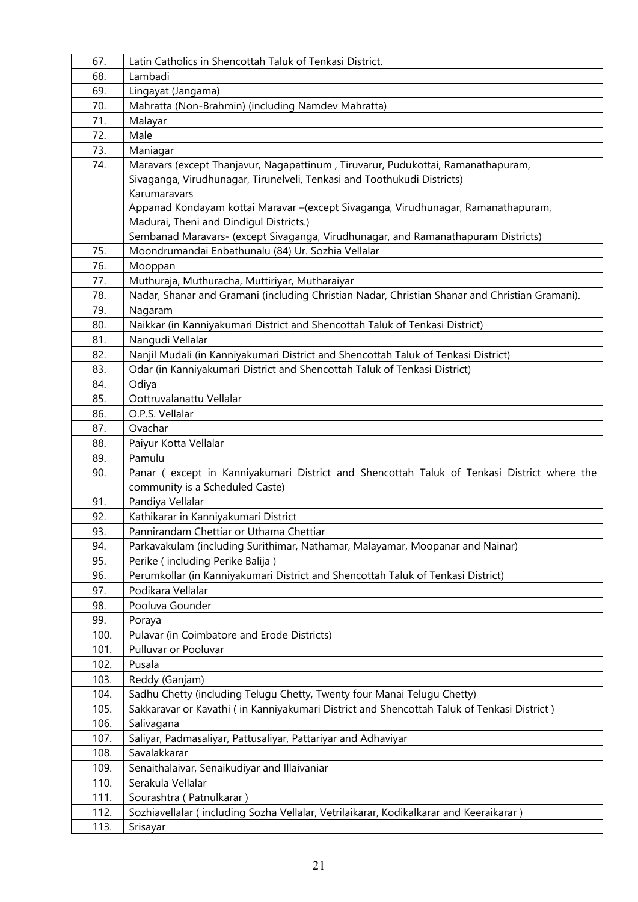| 67.        | Latin Catholics in Shencottah Taluk of Tenkasi District.                                       |
|------------|------------------------------------------------------------------------------------------------|
| 68.        | Lambadi                                                                                        |
| 69.        | Lingayat (Jangama)                                                                             |
| 70.        | Mahratta (Non-Brahmin) (including Namdev Mahratta)                                             |
| 71.        | Malayar                                                                                        |
| 72.        | Male                                                                                           |
| 73.        | Maniagar                                                                                       |
| 74.        | Maravars (except Thanjavur, Nagapattinum, Tiruvarur, Pudukottai, Ramanathapuram,               |
|            | Sivaganga, Virudhunagar, Tirunelveli, Tenkasi and Toothukudi Districts)                        |
|            | Karumaravars                                                                                   |
|            | Appanad Kondayam kottai Maravar -(except Sivaganga, Virudhunagar, Ramanathapuram,              |
|            | Madurai, Theni and Dindigul Districts.)                                                        |
|            | Sembanad Maravars- (except Sivaganga, Virudhunagar, and Ramanathapuram Districts)              |
| 75.        | Moondrumandai Enbathunalu (84) Ur. Sozhia Vellalar                                             |
| 76.        | Mooppan                                                                                        |
| 77.        | Muthuraja, Muthuracha, Muttiriyar, Mutharaiyar                                                 |
| 78.        | Nadar, Shanar and Gramani (including Christian Nadar, Christian Shanar and Christian Gramani). |
| 79.        | Nagaram                                                                                        |
| 80.        | Naikkar (in Kanniyakumari District and Shencottah Taluk of Tenkasi District)                   |
| 81.        | Nangudi Vellalar                                                                               |
| 82.        | Nanjil Mudali (in Kanniyakumari District and Shencottah Taluk of Tenkasi District)             |
| 83.        | Odar (in Kanniyakumari District and Shencottah Taluk of Tenkasi District)                      |
| 84.        | Odiya                                                                                          |
| 85.        | Oottruvalanattu Vellalar                                                                       |
| 86.        | O.P.S. Vellalar                                                                                |
| 87.        | Ovachar                                                                                        |
| 88.        | Paiyur Kotta Vellalar                                                                          |
| 89.        | Pamulu                                                                                         |
| 90.        | Panar ( except in Kanniyakumari District and Shencottah Taluk of Tenkasi District where the    |
|            | community is a Scheduled Caste)                                                                |
| 91.        | Pandiya Vellalar                                                                               |
| 92.<br>93. | Kathikarar in Kanniyakumari District<br>Pannirandam Chettiar or Uthama Chettiar                |
| 94.        | Parkavakulam (including Surithimar, Nathamar, Malayamar, Moopanar and Nainar)                  |
| 95.        | Perike (including Perike Balija)                                                               |
| 96.        | Perumkollar (in Kanniyakumari District and Shencottah Taluk of Tenkasi District)               |
| 97.        | Podikara Vellalar                                                                              |
| 98.        | Pooluva Gounder                                                                                |
| 99.        | Poraya                                                                                         |
| 100.       | Pulavar (in Coimbatore and Erode Districts)                                                    |
| 101.       | Pulluvar or Pooluvar                                                                           |
| 102.       | Pusala                                                                                         |
| 103.       | Reddy (Ganjam)                                                                                 |
| 104.       | Sadhu Chetty (including Telugu Chetty, Twenty four Manai Telugu Chetty)                        |
| 105.       | Sakkaravar or Kavathi (in Kanniyakumari District and Shencottah Taluk of Tenkasi District)     |
| 106.       | Salivagana                                                                                     |
| 107.       | Saliyar, Padmasaliyar, Pattusaliyar, Pattariyar and Adhaviyar                                  |
| 108.       | Savalakkarar                                                                                   |
| 109.       | Senaithalaivar, Senaikudiyar and Illaivaniar                                                   |
| 110.       | Serakula Vellalar                                                                              |
| 111.       | Sourashtra (Patnulkarar)                                                                       |
| 112.       | Sozhiavellalar (including Sozha Vellalar, Vetrilaikarar, Kodikalkarar and Keeraikarar)         |
| 113.       | Srisayar                                                                                       |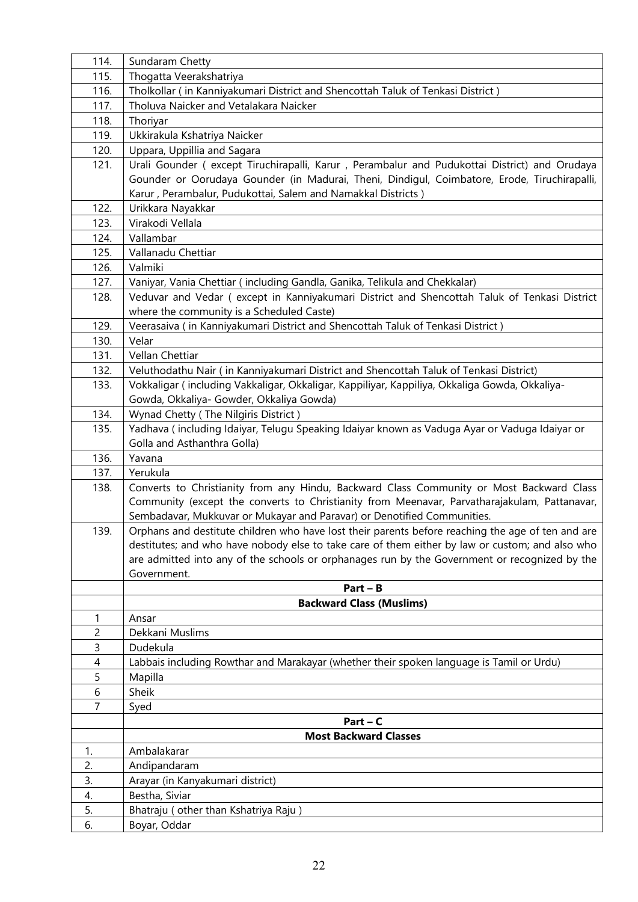| 114.           | Sundaram Chetty                                                                                   |
|----------------|---------------------------------------------------------------------------------------------------|
| 115.           | Thogatta Veerakshatriya                                                                           |
| 116.           | Tholkollar (in Kanniyakumari District and Shencottah Taluk of Tenkasi District)                   |
| 117.           | Tholuva Naicker and Vetalakara Naicker                                                            |
| 118.           | Thoriyar                                                                                          |
| 119.           | Ukkirakula Kshatriya Naicker                                                                      |
| 120.           | Uppara, Uppillia and Sagara                                                                       |
| 121.           | Urali Gounder (except Tiruchirapalli, Karur, Perambalur and Pudukottai District) and Orudaya      |
|                | Gounder or Oorudaya Gounder (in Madurai, Theni, Dindigul, Coimbatore, Erode, Tiruchirapalli,      |
|                | Karur, Perambalur, Pudukottai, Salem and Namakkal Districts)                                      |
| 122.           | Urikkara Nayakkar                                                                                 |
| 123.           | Virakodi Vellala                                                                                  |
| 124.           | Vallambar                                                                                         |
| 125.           | Vallanadu Chettiar                                                                                |
| 126.           | Valmiki                                                                                           |
| 127.           | Vaniyar, Vania Chettiar (including Gandla, Ganika, Telikula and Chekkalar)                        |
| 128.           | Veduvar and Vedar (except in Kanniyakumari District and Shencottah Taluk of Tenkasi District      |
|                | where the community is a Scheduled Caste)                                                         |
| 129.           | Veerasaiva (in Kanniyakumari District and Shencottah Taluk of Tenkasi District)                   |
| 130.           | Velar                                                                                             |
| 131.           | Vellan Chettiar                                                                                   |
| 132.           | Veluthodathu Nair (in Kanniyakumari District and Shencottah Taluk of Tenkasi District)            |
| 133.           | Vokkaligar (including Vakkaligar, Okkaligar, Kappiliyar, Kappiliya, Okkaliga Gowda, Okkaliya-     |
|                | Gowda, Okkaliya- Gowder, Okkaliya Gowda)                                                          |
| 134.           | Wynad Chetty (The Nilgiris District)                                                              |
| 135.           | Yadhava (including Idaiyar, Telugu Speaking Idaiyar known as Vaduga Ayar or Vaduga Idaiyar or     |
|                | Golla and Asthanthra Golla)                                                                       |
| 136.           | Yavana                                                                                            |
| 137.           | Yerukula                                                                                          |
| 138.           | Converts to Christianity from any Hindu, Backward Class Community or Most Backward Class          |
|                | Community (except the converts to Christianity from Meenavar, Parvatharajakulam, Pattanavar,      |
|                | Sembadavar, Mukkuvar or Mukayar and Paravar) or Denotified Communities.                           |
| 139            | Orphans and destitute children who have lost their parents before reaching the age of ten and are |
|                | destitutes; and who have nobody else to take care of them either by law or custom; and also who   |
|                | are admitted into any of the schools or orphanages run by the Government or recognized by the     |
|                | Government.                                                                                       |
|                | $Part - B$                                                                                        |
|                | <b>Backward Class (Muslims)</b>                                                                   |
| 1              | Ansar                                                                                             |
| $\overline{c}$ | Dekkani Muslims                                                                                   |
| 3              | Dudekula                                                                                          |
| 4              | Labbais including Rowthar and Marakayar (whether their spoken language is Tamil or Urdu)          |
| 5              | Mapilla                                                                                           |
| 6              | Sheik                                                                                             |
| 7              | Syed                                                                                              |
|                | $Part - C$                                                                                        |
|                | <b>Most Backward Classes</b>                                                                      |
| 1.             | Ambalakarar                                                                                       |
| 2.             | Andipandaram                                                                                      |
| 3.             | Arayar (in Kanyakumari district)                                                                  |
| 4.             | Bestha, Siviar                                                                                    |
| 5.             | Bhatraju ( other than Kshatriya Raju )                                                            |
| 6.             | Boyar, Oddar                                                                                      |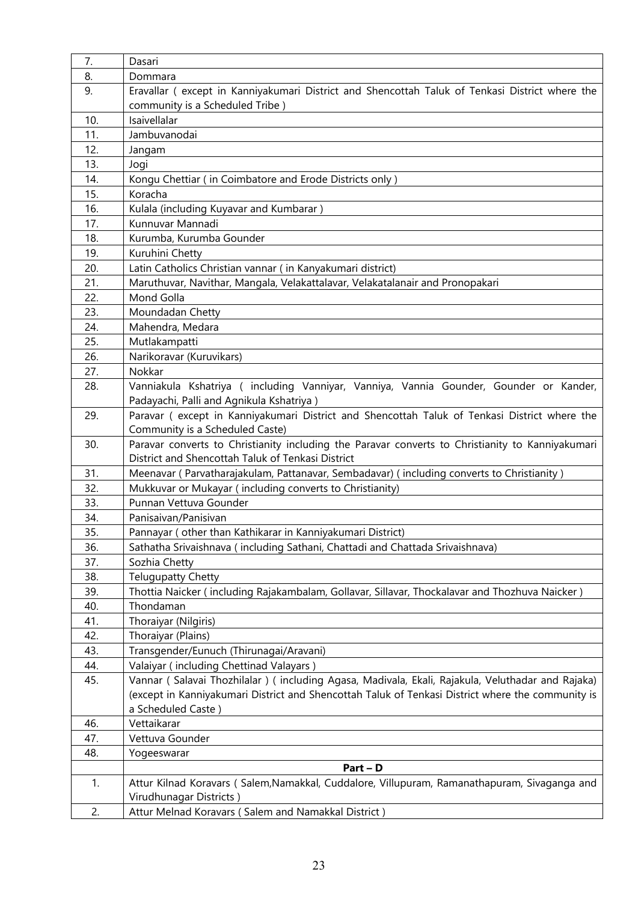| 7.         | Dasari                                                                                                      |
|------------|-------------------------------------------------------------------------------------------------------------|
| 8.         | Dommara                                                                                                     |
| 9.         | Eravallar (except in Kanniyakumari District and Shencottah Taluk of Tenkasi District where the              |
|            | community is a Scheduled Tribe)                                                                             |
| 10.        | Isaivellalar                                                                                                |
| 11.        | Jambuvanodai                                                                                                |
| 12.        | Jangam                                                                                                      |
| 13.        | Jogi                                                                                                        |
| 14.        | Kongu Chettiar (in Coimbatore and Erode Districts only)                                                     |
| 15.        | Koracha                                                                                                     |
| 16.        | Kulala (including Kuyavar and Kumbarar)                                                                     |
| 17.        | Kunnuvar Mannadi                                                                                            |
| 18.        | Kurumba, Kurumba Gounder                                                                                    |
| 19.        | Kuruhini Chetty                                                                                             |
| 20.        | Latin Catholics Christian vannar (in Kanyakumari district)                                                  |
| 21.        | Maruthuvar, Navithar, Mangala, Velakattalavar, Velakatalanair and Pronopakari                               |
| 22.        | Mond Golla                                                                                                  |
| 23.        | Moundadan Chetty                                                                                            |
| 24.        | Mahendra, Medara                                                                                            |
| 25.        | Mutlakampatti                                                                                               |
| 26.        | Narikoravar (Kuruvikars)                                                                                    |
| 27.        | Nokkar                                                                                                      |
| 28.        | Vanniakula Kshatriya ( including Vanniyar, Vanniya, Vannia Gounder, Gounder or Kander,                      |
|            | Padayachi, Palli and Agnikula Kshatriya)                                                                    |
| 29.        | Paravar (except in Kanniyakumari District and Shencottah Taluk of Tenkasi District where the                |
|            | Community is a Scheduled Caste)                                                                             |
| 30.        | Paravar converts to Christianity including the Paravar converts to Christianity to Kanniyakumari            |
|            | District and Shencottah Taluk of Tenkasi District                                                           |
| 31.        | Meenavar (Parvatharajakulam, Pattanavar, Sembadavar) (including converts to Christianity)                   |
| 32.        | Mukkuvar or Mukayar (including converts to Christianity)                                                    |
| 33.        | Punnan Vettuva Gounder                                                                                      |
| 34.        | Panisaivan/Panisivan                                                                                        |
| 35.        | Pannayar (other than Kathikarar in Kanniyakumari District)                                                  |
| 36.        | Sathatha Srivaishnava (including Sathani, Chattadi and Chattada Srivaishnava)                               |
| 37.        | Sozhia Chetty                                                                                               |
| 38.        | <b>Telugupatty Chetty</b>                                                                                   |
| 39.<br>40. | Thottia Naicker (including Rajakambalam, Gollavar, Sillavar, Thockalavar and Thozhuva Naicker)<br>Thondaman |
| 41.        | Thoraiyar (Nilgiris)                                                                                        |
| 42.        | Thoraiyar (Plains)                                                                                          |
| 43.        | Transgender/Eunuch (Thirunagai/Aravani)                                                                     |
| 44.        | Valaiyar (including Chettinad Valayars)                                                                     |
| 45.        | Vannar (Salavai Thozhilalar) (including Agasa, Madivala, Ekali, Rajakula, Veluthadar and Rajaka)            |
|            | (except in Kanniyakumari District and Shencottah Taluk of Tenkasi District where the community is           |
|            | a Scheduled Caste)                                                                                          |
| 46.        | Vettaikarar                                                                                                 |
| 47.        | Vettuva Gounder                                                                                             |
| 48.        | Yogeeswarar                                                                                                 |
|            | $Part - D$                                                                                                  |
| 1.         | Attur Kilnad Koravars (Salem, Namakkal, Cuddalore, Villupuram, Ramanathapuram, Sivaganga and                |
|            | Virudhunagar Districts)                                                                                     |
| 2.         | Attur Melnad Koravars (Salem and Namakkal District)                                                         |
|            |                                                                                                             |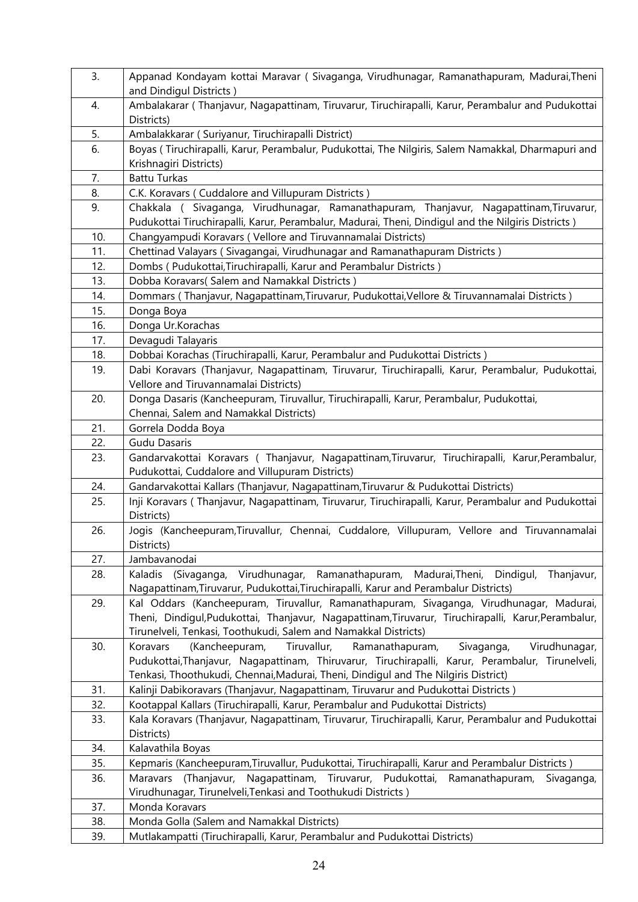| 3.  | Appanad Kondayam kottai Maravar (Sivaganga, Virudhunagar, Ramanathapuram, Madurai, Theni<br>and Dindigul Districts)                                                                          |
|-----|----------------------------------------------------------------------------------------------------------------------------------------------------------------------------------------------|
| 4.  | Ambalakarar (Thanjavur, Nagapattinam, Tiruvarur, Tiruchirapalli, Karur, Perambalur and Pudukottai                                                                                            |
|     | Districts)                                                                                                                                                                                   |
| 5.  | Ambalakkarar (Suriyanur, Tiruchirapalli District)                                                                                                                                            |
| 6.  |                                                                                                                                                                                              |
|     | Boyas (Tiruchirapalli, Karur, Perambalur, Pudukottai, The Nilgiris, Salem Namakkal, Dharmapuri and<br>Krishnagiri Districts)                                                                 |
| 7.  | <b>Battu Turkas</b>                                                                                                                                                                          |
| 8.  | C.K. Koravars (Cuddalore and Villupuram Districts)                                                                                                                                           |
| 9.  | Chakkala (Sivaganga, Virudhunagar, Ramanathapuram, Thanjavur, Nagapattinam, Tiruvarur,<br>Pudukottai Tiruchirapalli, Karur, Perambalur, Madurai, Theni, Dindigul and the Nilgiris Districts) |
| 10. | Changyampudi Koravars (Vellore and Tiruvannamalai Districts)                                                                                                                                 |
| 11. | Chettinad Valayars (Sivagangai, Virudhunagar and Ramanathapuram Districts)                                                                                                                   |
| 12. | Dombs (Pudukottai, Tiruchirapalli, Karur and Perambalur Districts)                                                                                                                           |
| 13. | Dobba Koravars(Salem and Namakkal Districts)                                                                                                                                                 |
| 14. | Dommars (Thanjavur, Nagapattinam, Tiruvarur, Pudukottai, Vellore & Tiruvannamalai Districts)                                                                                                 |
| 15. | Donga Boya                                                                                                                                                                                   |
| 16. | Donga Ur.Korachas                                                                                                                                                                            |
| 17. | Devagudi Talayaris                                                                                                                                                                           |
| 18. | Dobbai Korachas (Tiruchirapalli, Karur, Perambalur and Pudukottai Districts)                                                                                                                 |
| 19. | Dabi Koravars (Thanjavur, Nagapattinam, Tiruvarur, Tiruchirapalli, Karur, Perambalur, Pudukottai,                                                                                            |
|     | Vellore and Tiruvannamalai Districts)                                                                                                                                                        |
| 20. | Donga Dasaris (Kancheepuram, Tiruvallur, Tiruchirapalli, Karur, Perambalur, Pudukottai,                                                                                                      |
|     | Chennai, Salem and Namakkal Districts)                                                                                                                                                       |
| 21. | Gorrela Dodda Boya                                                                                                                                                                           |
| 22. | Gudu Dasaris                                                                                                                                                                                 |
| 23. | Gandarvakottai Koravars ( Thanjavur, Nagapattinam, Tiruvarur, Tiruchirapalli, Karur, Perambalur,                                                                                             |
|     | Pudukottai, Cuddalore and Villupuram Districts)                                                                                                                                              |
| 24. | Gandarvakottai Kallars (Thanjavur, Nagapattinam, Tiruvarur & Pudukottai Districts)                                                                                                           |
| 25. | Inji Koravars (Thanjavur, Nagapattinam, Tiruvarur, Tiruchirapalli, Karur, Perambalur and Pudukottai<br>Districts)                                                                            |
| 26. | Jogis (Kancheepuram, Tiruvallur, Chennai, Cuddalore, Villupuram, Vellore and Tiruvannamalai                                                                                                  |
|     | Districts)                                                                                                                                                                                   |
| 27. | Jambavanodai                                                                                                                                                                                 |
| 28. | Kaladis (Sivaganga, Virudhunagar, Ramanathapuram, Madurai, Theni, Dindigul,<br>Thanjavur,<br>Nagapattinam, Tiruvarur, Pudukottai, Tiruchirapalli, Karur and Perambalur Districts)            |
| 29. | Kal Oddars (Kancheepuram, Tiruvallur, Ramanathapuram, Sivaganga, Virudhunagar, Madurai,                                                                                                      |
|     | Theni, Dindigul, Pudukottai, Thanjavur, Nagapattinam, Tiruvarur, Tiruchirapalli, Karur, Perambalur,                                                                                          |
|     | Tirunelveli, Tenkasi, Toothukudi, Salem and Namakkal Districts)                                                                                                                              |
| 30. | Virudhunagar,<br>(Kancheepuram,<br>Tiruvallur,<br>Sivaganga,<br>Koravars<br>Ramanathapuram,                                                                                                  |
|     | Pudukottai, Thanjavur, Nagapattinam, Thiruvarur, Tiruchirapalli, Karur, Perambalur, Tirunelveli,                                                                                             |
|     | Tenkasi, Thoothukudi, Chennai, Madurai, Theni, Dindigul and The Nilgiris District)                                                                                                           |
| 31. | Kalinji Dabikoravars (Thanjavur, Nagapattinam, Tiruvarur and Pudukottai Districts)                                                                                                           |
| 32. | Kootappal Kallars (Tiruchirapalli, Karur, Perambalur and Pudukottai Districts)                                                                                                               |
| 33. | Kala Koravars (Thanjavur, Nagapattinam, Tiruvarur, Tiruchirapalli, Karur, Perambalur and Pudukottai<br>Districts)                                                                            |
| 34. | Kalavathila Boyas                                                                                                                                                                            |
| 35. | Kepmaris (Kancheepuram, Tiruvallur, Pudukottai, Tiruchirapalli, Karur and Perambalur Districts)                                                                                              |
| 36. | (Thanjavur, Nagapattinam, Tiruvarur, Pudukottai,<br>Maravars<br>Ramanathapuram,<br>Sivaganga,                                                                                                |
|     | Virudhunagar, Tirunelveli, Tenkasi and Toothukudi Districts)                                                                                                                                 |
| 37. | Monda Koravars                                                                                                                                                                               |
| 38. | Monda Golla (Salem and Namakkal Districts)                                                                                                                                                   |
| 39. | Mutlakampatti (Tiruchirapalli, Karur, Perambalur and Pudukottai Districts)                                                                                                                   |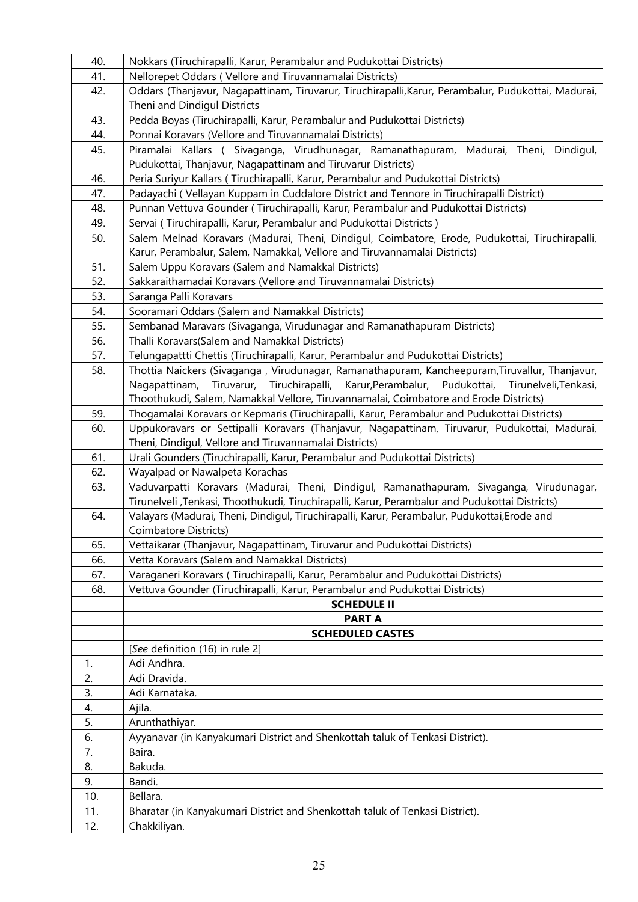| 40. | Nokkars (Tiruchirapalli, Karur, Perambalur and Pudukottai Districts)                                                                  |
|-----|---------------------------------------------------------------------------------------------------------------------------------------|
| 41. | Nellorepet Oddars (Vellore and Tiruvannamalai Districts)                                                                              |
| 42. | Oddars (Thanjavur, Nagapattinam, Tiruvarur, Tiruchirapalli, Karur, Perambalur, Pudukottai, Madurai,                                   |
|     | Theni and Dindigul Districts                                                                                                          |
| 43. | Pedda Boyas (Tiruchirapalli, Karur, Perambalur and Pudukottai Districts)                                                              |
| 44. | Ponnai Koravars (Vellore and Tiruvannamalai Districts)                                                                                |
| 45. | Piramalai Kallars ( Sivaganga, Virudhunagar, Ramanathapuram, Madurai, Theni, Dindigul,                                                |
|     | Pudukottai, Thanjavur, Nagapattinam and Tiruvarur Districts)                                                                          |
| 46. | Peria Suriyur Kallars (Tiruchirapalli, Karur, Perambalur and Pudukottai Districts)                                                    |
| 47. | Padayachi (Vellayan Kuppam in Cuddalore District and Tennore in Tiruchirapalli District)                                              |
| 48. | Punnan Vettuva Gounder (Tiruchirapalli, Karur, Perambalur and Pudukottai Districts)                                                   |
| 49. | Servai (Tiruchirapalli, Karur, Perambalur and Pudukottai Districts)                                                                   |
| 50. | Salem Melnad Koravars (Madurai, Theni, Dindigul, Coimbatore, Erode, Pudukottai, Tiruchirapalli,                                       |
|     | Karur, Perambalur, Salem, Namakkal, Vellore and Tiruvannamalai Districts)                                                             |
| 51. | Salem Uppu Koravars (Salem and Namakkal Districts)                                                                                    |
| 52. | Sakkaraithamadai Koravars (Vellore and Tiruvannamalai Districts)                                                                      |
| 53. | Saranga Palli Koravars                                                                                                                |
| 54. | Sooramari Oddars (Salem and Namakkal Districts)                                                                                       |
| 55. | Sembanad Maravars (Sivaganga, Virudunagar and Ramanathapuram Districts)                                                               |
| 56. | Thalli Koravars(Salem and Namakkal Districts)                                                                                         |
| 57. | Telungapattti Chettis (Tiruchirapalli, Karur, Perambalur and Pudukottai Districts)                                                    |
| 58. | Thottia Naickers (Sivaganga, Virudunagar, Ramanathapuram, Kancheepuram, Tiruvallur, Thanjavur,                                        |
|     | Tiruvarur, Tiruchirapalli, Karur, Perambalur, Pudukottai,<br>Nagapattinam,<br>Tirunelveli, Tenkasi,                                   |
|     | Thoothukudi, Salem, Namakkal Vellore, Tiruvannamalai, Coimbatore and Erode Districts)                                                 |
| 59. | Thogamalai Koravars or Kepmaris (Tiruchirapalli, Karur, Perambalur and Pudukottai Districts)                                          |
| 60. | Uppukoravars or Settipalli Koravars (Thanjavur, Nagapattinam, Tiruvarur, Pudukottai, Madurai,                                         |
| 61. | Theni, Dindigul, Vellore and Tiruvannamalai Districts)<br>Urali Gounders (Tiruchirapalli, Karur, Perambalur and Pudukottai Districts) |
| 62. | Wayalpad or Nawalpeta Korachas                                                                                                        |
| 63. | Vaduvarpatti Koravars (Madurai, Theni, Dindigul, Ramanathapuram, Sivaganga, Virudunagar,                                              |
|     | Tirunelveli ,Tenkasi, Thoothukudi, Tiruchirapalli, Karur, Perambalur and Pudukottai Districts)                                        |
| 64. | Valayars (Madurai, Theni, Dindigul, Tiruchirapalli, Karur, Perambalur, Pudukottai, Erode and                                          |
|     | Coimbatore Districts)                                                                                                                 |
| 65. | Vettaikarar (Thanjavur, Nagapattinam, Tiruvarur and Pudukottai Districts)                                                             |
| 66. | Vetta Koravars (Salem and Namakkal Districts)                                                                                         |
| 67. | Varaganeri Koravars (Tiruchirapalli, Karur, Perambalur and Pudukottai Districts)                                                      |
| 68. | Vettuva Gounder (Tiruchirapalli, Karur, Perambalur and Pudukottai Districts)                                                          |
|     | <b>SCHEDULE II</b>                                                                                                                    |
|     | <b>PART A</b>                                                                                                                         |
|     | <b>SCHEDULED CASTES</b>                                                                                                               |
|     | [See definition (16) in rule 2]                                                                                                       |
| 1.  | Adi Andhra.                                                                                                                           |
| 2.  | Adi Dravida.                                                                                                                          |
| 3.  | Adi Karnataka.                                                                                                                        |
| 4.  | Ajila.                                                                                                                                |
| 5.  | Arunthathiyar.                                                                                                                        |
| 6.  | Ayyanavar (in Kanyakumari District and Shenkottah taluk of Tenkasi District).                                                         |
| 7.  | Baira.                                                                                                                                |
| 8.  | Bakuda.                                                                                                                               |
| 9.  | Bandi.                                                                                                                                |
| 10. | Bellara.                                                                                                                              |
| 11. | Bharatar (in Kanyakumari District and Shenkottah taluk of Tenkasi District).                                                          |
| 12. | Chakkiliyan.                                                                                                                          |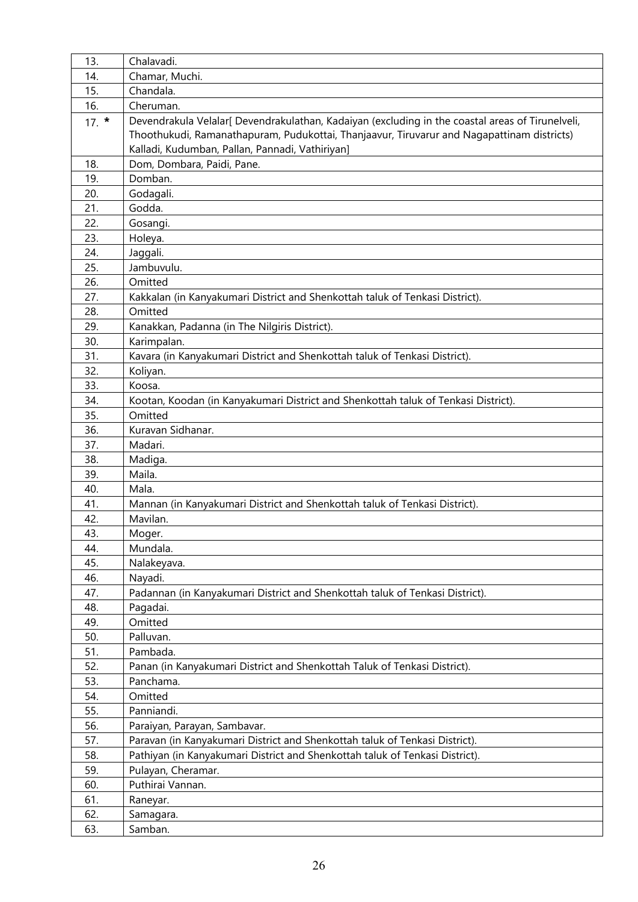| 13.        | Chalavadi.                                                                                       |  |  |
|------------|--------------------------------------------------------------------------------------------------|--|--|
| 14.        | Chamar, Muchi.                                                                                   |  |  |
| 15.        | Chandala.                                                                                        |  |  |
| 16.        | Cheruman.                                                                                        |  |  |
| $17.$ *    | Devendrakula Velalar[ Devendrakulathan, Kadaiyan (excluding in the coastal areas of Tirunelveli, |  |  |
|            | Thoothukudi, Ramanathapuram, Pudukottai, Thanjaavur, Tiruvarur and Nagapattinam districts)       |  |  |
|            | Kalladi, Kudumban, Pallan, Pannadi, Vathiriyan]                                                  |  |  |
| 18.        | Dom, Dombara, Paidi, Pane.                                                                       |  |  |
| 19.        | Domban.                                                                                          |  |  |
| 20.        | Godagali.                                                                                        |  |  |
| 21.        | Godda.                                                                                           |  |  |
| 22.        | Gosangi.                                                                                         |  |  |
| 23.        | Holeya.                                                                                          |  |  |
| 24.        | Jaggali.                                                                                         |  |  |
| 25.        | Jambuvulu.                                                                                       |  |  |
| 26.        | Omitted                                                                                          |  |  |
| 27.        | Kakkalan (in Kanyakumari District and Shenkottah taluk of Tenkasi District).                     |  |  |
| 28.        | Omitted                                                                                          |  |  |
| 29.        | Kanakkan, Padanna (in The Nilgiris District).                                                    |  |  |
| 30.        | Karimpalan.                                                                                      |  |  |
| 31.        | Kavara (in Kanyakumari District and Shenkottah taluk of Tenkasi District).                       |  |  |
| 32.        | Koliyan.                                                                                         |  |  |
| 33.        | Koosa.                                                                                           |  |  |
| 34.        | Kootan, Koodan (in Kanyakumari District and Shenkottah taluk of Tenkasi District).               |  |  |
| 35.        | Omitted                                                                                          |  |  |
| 36.        | Kuravan Sidhanar.                                                                                |  |  |
| 37.        | Madari.                                                                                          |  |  |
| 38.        | Madiga.                                                                                          |  |  |
| 39.        | Maila.                                                                                           |  |  |
| 40.        | Mala.                                                                                            |  |  |
| 41.        | Mannan (in Kanyakumari District and Shenkottah taluk of Tenkasi District).                       |  |  |
| 42.        | Mavilan.                                                                                         |  |  |
| 43.        | Moger.                                                                                           |  |  |
| 44.        | Mundala.                                                                                         |  |  |
| 45.        | Nalakeyava.                                                                                      |  |  |
| 46.        | Nayadi.                                                                                          |  |  |
| 47.        | Padannan (in Kanyakumari District and Shenkottah taluk of Tenkasi District).                     |  |  |
| 48.        | Pagadai.                                                                                         |  |  |
| 49.        | Omitted                                                                                          |  |  |
| 50.        | Palluvan.                                                                                        |  |  |
| 51.<br>52. | Pambada.<br>Panan (in Kanyakumari District and Shenkottah Taluk of Tenkasi District).            |  |  |
| 53.        | Panchama.                                                                                        |  |  |
| 54.        | Omitted                                                                                          |  |  |
| 55.        | Panniandi.                                                                                       |  |  |
| 56.        | Paraiyan, Parayan, Sambavar.                                                                     |  |  |
| 57.        | Paravan (in Kanyakumari District and Shenkottah taluk of Tenkasi District).                      |  |  |
| 58.        | Pathiyan (in Kanyakumari District and Shenkottah taluk of Tenkasi District).                     |  |  |
| 59.        | Pulayan, Cheramar.                                                                               |  |  |
| 60.        | Puthirai Vannan.                                                                                 |  |  |
| 61.        | Raneyar.                                                                                         |  |  |
| 62.        | Samagara.                                                                                        |  |  |
| 63.        | Samban.                                                                                          |  |  |
|            |                                                                                                  |  |  |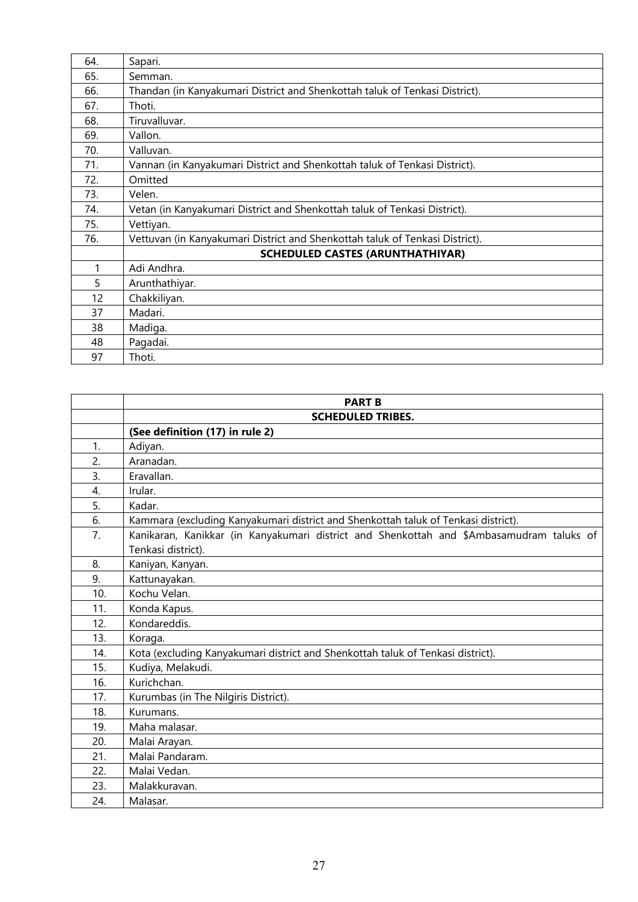| 64. | Sapari.                                                                      |  |
|-----|------------------------------------------------------------------------------|--|
| 65. | Semman.                                                                      |  |
| 66. | Thandan (in Kanyakumari District and Shenkottah taluk of Tenkasi District).  |  |
| 67. | Thoti.                                                                       |  |
| 68. | Tiruvalluvar.                                                                |  |
| 69. | Vallon.                                                                      |  |
| 70. | Valluvan.                                                                    |  |
| 71. | Vannan (in Kanyakumari District and Shenkottah taluk of Tenkasi District).   |  |
| 72. | Omitted                                                                      |  |
| 73. | Velen.                                                                       |  |
| 74. | Vetan (in Kanyakumari District and Shenkottah taluk of Tenkasi District).    |  |
| 75. | Vettiyan.                                                                    |  |
| 76. | Vettuvan (in Kanyakumari District and Shenkottah taluk of Tenkasi District). |  |
|     | <b>SCHEDULED CASTES (ARUNTHATHIYAR)</b>                                      |  |
| 1   | Adi Andhra.                                                                  |  |
| 5   | Arunthathiyar.                                                               |  |
| 12  | Chakkiliyan.                                                                 |  |
| 37  | Madari.                                                                      |  |
| 38  | Madiga.                                                                      |  |
| 48  | Pagadai.                                                                     |  |
| 97  | Thoti.                                                                       |  |

|     | <b>PART B</b>                                                                            |  |
|-----|------------------------------------------------------------------------------------------|--|
|     | <b>SCHEDULED TRIBES.</b>                                                                 |  |
|     | (See definition (17) in rule 2)                                                          |  |
| 1.  | Adiyan.                                                                                  |  |
| 2.  | Aranadan.                                                                                |  |
| 3.  | Eravallan.                                                                               |  |
| 4.  | Irular.                                                                                  |  |
| 5.  | Kadar.                                                                                   |  |
| 6.  | Kammara (excluding Kanyakumari district and Shenkottah taluk of Tenkasi district).       |  |
| 7.  | Kanikaran, Kanikkar (in Kanyakumari district and Shenkottah and \$Ambasamudram taluks of |  |
|     | Tenkasi district).                                                                       |  |
| 8.  | Kaniyan, Kanyan.                                                                         |  |
| 9.  | Kattunayakan.                                                                            |  |
| 10. | Kochu Velan.                                                                             |  |
| 11. | Konda Kapus.                                                                             |  |
| 12. | Kondareddis.                                                                             |  |
| 13. | Koraga.                                                                                  |  |
| 14. | Kota (excluding Kanyakumari district and Shenkottah taluk of Tenkasi district).          |  |
| 15. | Kudiya, Melakudi.                                                                        |  |
| 16. | Kurichchan.                                                                              |  |
| 17. | Kurumbas (in The Nilgiris District).                                                     |  |
| 18. | Kurumans.                                                                                |  |
| 19. | Maha malasar.                                                                            |  |
| 20. | Malai Arayan.                                                                            |  |
| 21. | Malai Pandaram.                                                                          |  |
| 22. | Malai Vedan.                                                                             |  |
| 23. | Malakkuravan.                                                                            |  |
| 24. | Malasar.                                                                                 |  |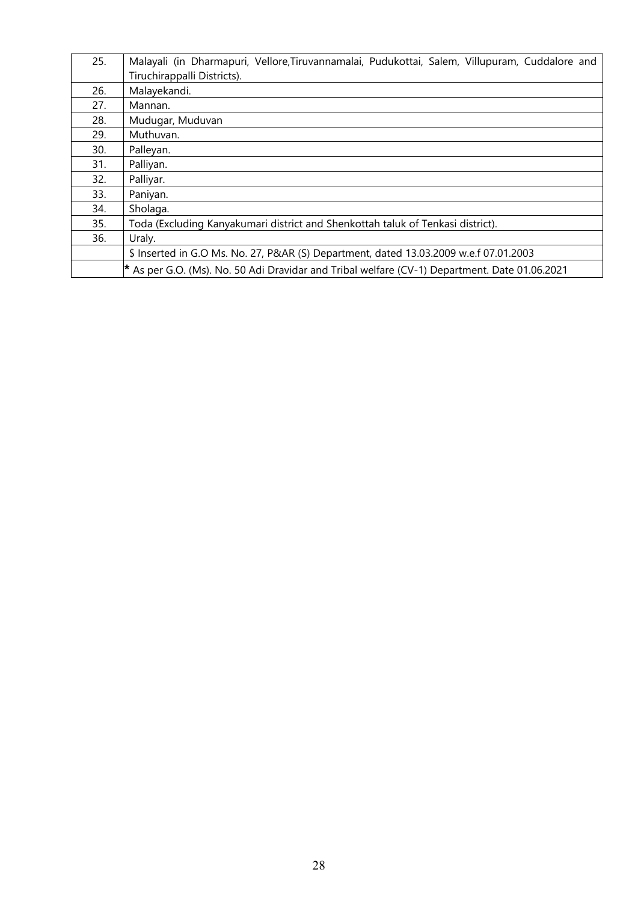| 25. | Malayali (in Dharmapuri, Vellore, Tiruvannamalai, Pudukottai, Salem, Villupuram, Cuddalore and |  |
|-----|------------------------------------------------------------------------------------------------|--|
|     | Tiruchirappalli Districts).                                                                    |  |
| 26. | Malayekandi.                                                                                   |  |
| 27. | Mannan.                                                                                        |  |
| 28. | Mudugar, Muduvan                                                                               |  |
| 29. | Muthuvan.                                                                                      |  |
| 30. | Palleyan.                                                                                      |  |
| 31. | Palliyan.                                                                                      |  |
| 32. | Palliyar.                                                                                      |  |
| 33. | Paniyan.                                                                                       |  |
| 34. | Sholaga.                                                                                       |  |
| 35. | Toda (Excluding Kanyakumari district and Shenkottah taluk of Tenkasi district).                |  |
| 36. | Uraly.                                                                                         |  |
|     | \$ Inserted in G.O Ms. No. 27, P&AR (S) Department, dated 13.03.2009 w.e.f 07.01.2003          |  |
|     | * As per G.O. (Ms). No. 50 Adi Dravidar and Tribal welfare (CV-1) Department. Date 01.06.2021  |  |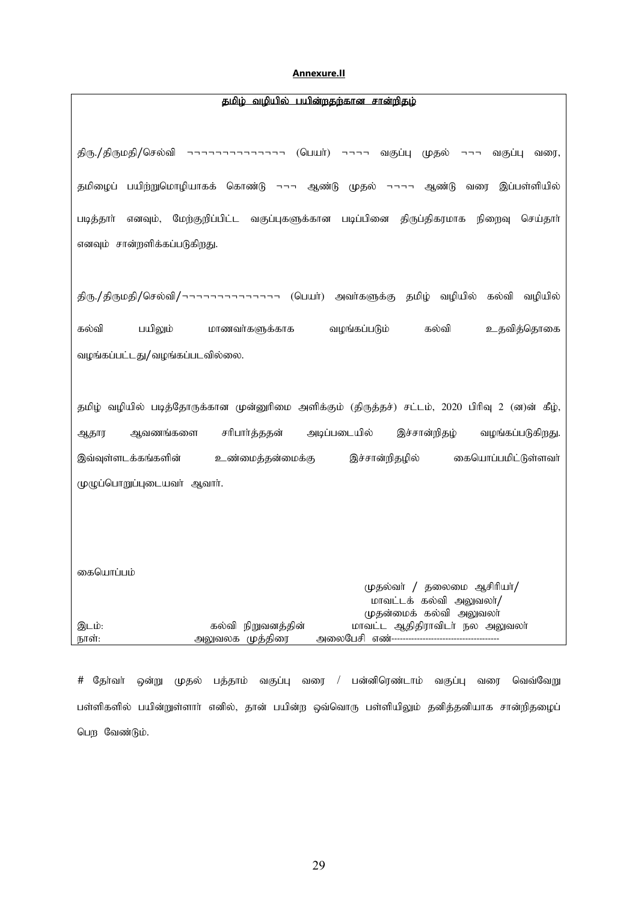#### **Annexure.II**

<span id="page-28-0"></span>

| திரு./திருமதி/செல்வி ¬¬¬¬¬¬¬¬¬¬¬¬¬ (பெயர்) ¬¬¬¬ வகுப்பு முதல் ¬¬¬ வகுப்பு<br>வரை,                  |
|----------------------------------------------------------------------------------------------------|
| தமிழைப் பயிற்றுமொழியாகக் கொண்டு ¬¬¬ ஆண்டு முதல் ¬¬¬¬ ஆண்டு வரை இப்பள்ளியில்                        |
| மேற்குறிப்பிட்ட வகுப்புகளுக்கான படிப்பினை திருப்திகரமாக நிறைவு<br>செய்தாா்<br>படித்தார்<br>எனவும், |
| எனவும் சான்றளிக்கப்படுகிறது.                                                                       |
|                                                                                                    |
| திரு./திருமதி/செல்வி/¬¬¬¬¬¬¬¬¬¬¬¬¬¬ (பெயர்) அவர்களுக்கு தமிழ் வழியில் கல்வி வழியில்                |
| கல்வி<br>பயிலும்<br>வழங்கப்படும்<br>கல்வி<br>உதவித்தொகை<br>மாணவர்களுக்காக                          |
|                                                                                                    |
| வழங்கப்பட்டது/வழங்கப்படவில்லை.                                                                     |
|                                                                                                    |
| தமிழ் வழியில் படித்தோருக்கான முன்னுரிமை அளிக்கும் (திருத்தச்) சட்டம், 2020 பிரிவு 2 (ன)ன் கீழ்,    |
| சரிபார்த்ததன்<br>அடிப்படையில்<br>இச்சான்றிதழ்<br>ஆவணங்களை<br>வழங்கப்படுகிறது.<br>ஆதார              |
| இவ்வுள்ளடக்கங்களின்<br>இச்சான்றிதழில்<br>கையொப்பமிட்டுள்ளவர்<br>உண்மைத்தன்மைக்கு                   |
| முழுப்பொறுப்புடையவர் ஆவார்.                                                                        |
|                                                                                                    |
|                                                                                                    |
|                                                                                                    |
|                                                                                                    |
| கையொப்பம்<br>முதல்வா் / தலைமை ஆசிரியா்/                                                            |
| மாவட்டக் கல்வி அலுவலா்/                                                                            |
| முதன்மைக் கல்வி அலுவலா்                                                                            |
| மாவட்ட ஆதிதிராவிடா் நல அலுவலா்<br>நிறுவனத்தின்<br>இடம்:<br>கல்வி<br>அலுவலக முத்திரை<br>நாள்:       |

# தேர்வர் ஒன்று முதல் பத்தாம் வகுப்பு வரை / பன்னிரெண்டாம் வகுப்பு வரை வெவ்வேறு பள்ளிகளில் பயின்றுள்ளாா் எனில், தான் பயின்ற ஒவ்வொரு பள்ளியிலும் தனித்தனியாக சான்றிதழைப் பெற வேண்டும்.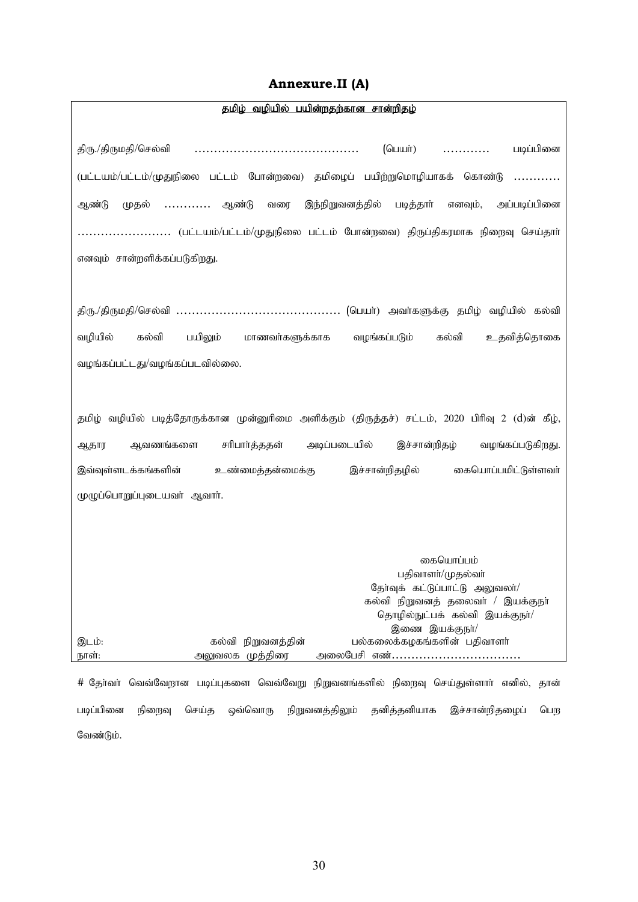### **Annexure.II (A)**

<span id="page-29-0"></span>

| தமிழ் வழியில் பயின்றதற்கான சான்றிதழ்                                                            |
|-------------------------------------------------------------------------------------------------|
|                                                                                                 |
| படிப்பினை<br>(பெயா்)                                                                            |
| (பட்டயம்/பட்டம்/முதுநிலை பட்டம் போன்றவை) தமிழைப் பயிற்றுமொழியாகக் கொண்டு<br>.                   |
| இந்நிறுவனத்தில் படித்தார் எனவும், அப்படிப்பினை<br>முதல் ………… ஆண்டு<br>வரை<br>ஆண்டு              |
| $\ldots$ (பட்டயம்/பட்டம்/முதுநிலை பட்டம் போன்றவை) திருப்திகரமாக நிறைவு செய்தாா்                 |
| எனவும் சான்றளிக்கப்படுகிறது.                                                                    |
|                                                                                                 |
|                                                                                                 |
| வழியில்<br>கல்வி<br>பயிலும்<br>கல்வி<br>உதவித்தொகை<br>மாணவர்களுக்காக<br>வழங்கப்படும்            |
| வழங்கப்பட்டது/வழங்கப்படவில்லை.                                                                  |
|                                                                                                 |
|                                                                                                 |
| தமிழ் வழியில் படித்தோருக்கான முன்னுரிமை அளிக்கும் (திருத்தச்) சட்டம், 2020 பிரிவு 2 (d)ன் கீழ், |
| அடிப்படையில்<br>இச்சான்றிதழ்<br>ஆவணங்களை<br>சரிபார்த்ததன்<br>வழங்கப்படுகிறது.<br>ஆதார           |
| இச்சான்றிதழில்<br>கையொப்பமிட்டுள்ளவா்<br>இவ்வுள்ளடக்கங்களின்<br>உண்மைத்தன்மைக்கு                |
| முழுப்பொறுப்புடையவர் ஆவார்.                                                                     |
|                                                                                                 |
|                                                                                                 |
| கையொப்பம்                                                                                       |
| பதிவாளர்/முதல்வர்                                                                               |
| தோ்வுக் கட்டுப்பாட்டு அலுவலா/                                                                   |
| கல்வி நிறுவனத் தலைவா் / இயக்குநா்                                                               |
| தொழில்நுட்பக் கல்வி இயக்குநா/                                                                   |
| இணை இயக்குநா/<br>பல்கலைக்கழகங்களின் பதிவாளர்<br>கல்வி நிறுவனத்தின்<br>இடம்:                     |
| அலுவலக முத்திரை<br>நாள்:<br>அலைபேசி எண்                                                         |
|                                                                                                 |

# தேர்வா் வெவ்வேறான படிப்புகளை வெவ்வேறு நிறுவனங்களில் நிறைவு செய்துள்ளாா் எனில், தான் படிப்பினை நிறைவு செய்த ஒவ்வொரு நிறுவனத்திலும் தனித்தனியாக இச்சான்றிதழைப் பெற வேண்டும்.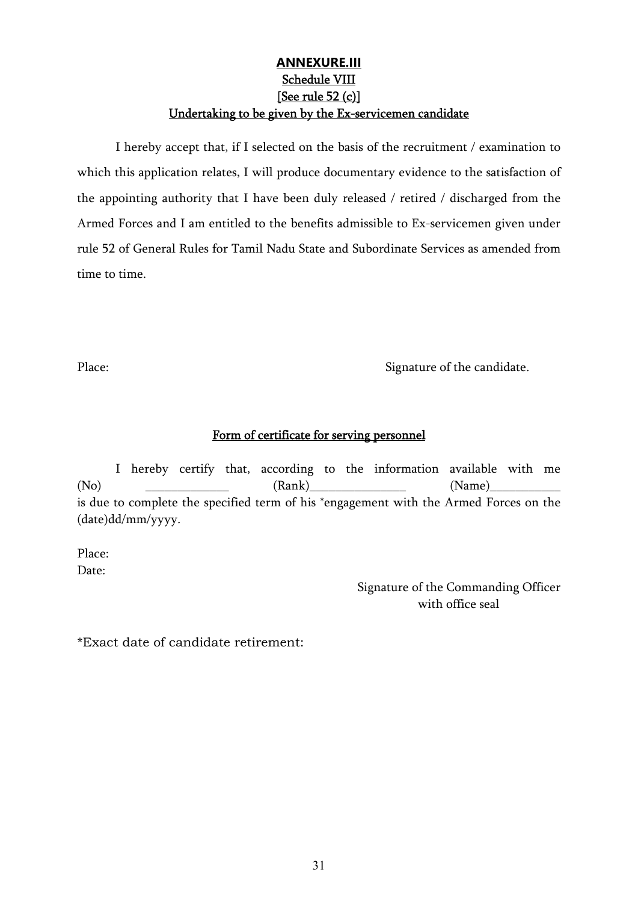#### **[ANNEXURE.III](#page-4-0)** Schedule VIII [See rule 52 (c)] Undertaking to be given by the Ex-servicemen candidate

<span id="page-30-0"></span> I hereby accept that, if I selected on the basis of the recruitment / examination to which this application relates, I will produce documentary evidence to the satisfaction of the appointing authority that I have been duly released / retired / discharged from the Armed Forces and I am entitled to the benefits admissible to Ex-servicemen given under rule 52 of General Rules for Tamil Nadu State and Subordinate Services as amended from time to time.

Place: Signature of the candidate.

#### Form of certificate for serving personnel

 I hereby certify that, according to the information available with me (No) \_\_\_\_\_\_\_\_\_\_\_\_\_ (Rank)\_\_\_\_\_\_\_\_\_\_\_\_\_\_\_ (Name)\_\_\_\_\_\_\_\_\_\_\_ is due to complete the specified term of his \*engagement with the Armed Forces on the (date)dd/mm/yyyy.

Place: Date:

> Signature of the Commanding Officer with office seal

\*Exact date of candidate retirement: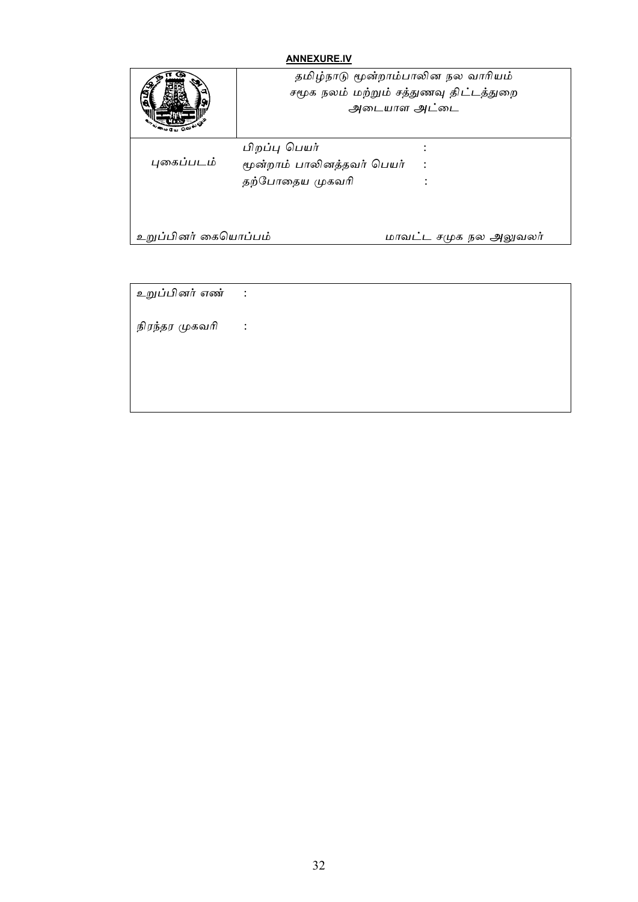#### **[ANNEXURE.IV](#page-10-0)**

<span id="page-31-0"></span>

|                      | தமிழ்நாடு மூன்றாம்பாலின நல வாரியம்<br>சமூக நலம் மற்றும் சத்துணவு திட்டத்துறை<br>அடையாள அட்டை |  |
|----------------------|----------------------------------------------------------------------------------------------|--|
| புகைப்படம்           | பிறப்பு பெயர்<br>மூன்றாம் பாலினத்தவர் பெயர்<br>தற்போதைய முகவரி                               |  |
| உறுப்பினர் கையொப்பம் | மாவட்ட சமுக நல அலுவலர்                                                                       |  |

உறுப்பினர் எண் :

நிரந்தர முகவரி :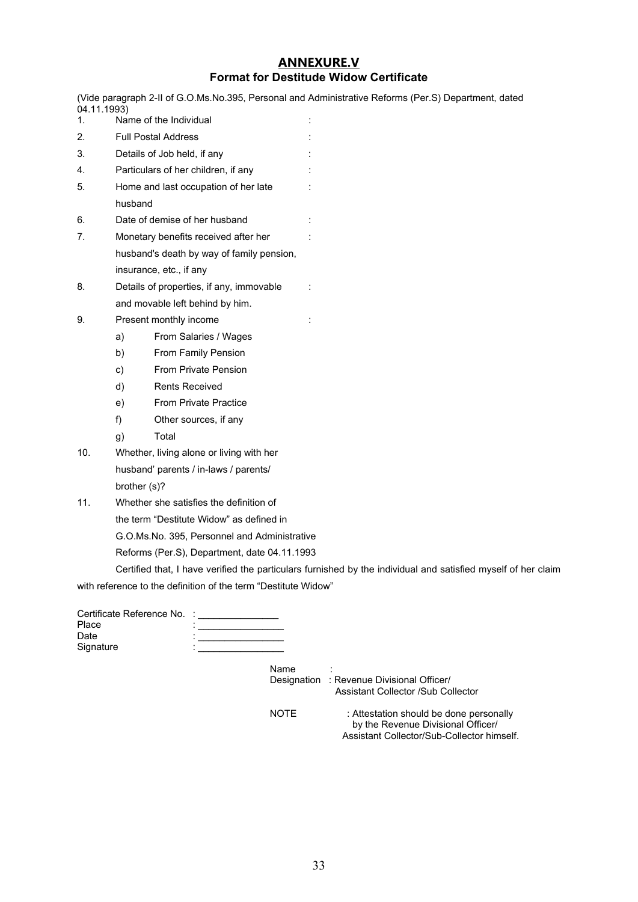#### **[ANNEXURE.V](#page-4-0) Format for Destitude Widow Certificate**

<span id="page-32-0"></span>(Vide paragraph 2-II of G.O.Ms.No.395, Personal and Administrative Reforms (Per.S) Department, dated 04.11.1993)

- 1. Name of the Individual :
- 2. Full Postal Address :
- 3. Details of Job held, if any :
- 4. Particulars of her children, if any :
- 5. Home and last occupation of her late : husband
- 6. Date of demise of her husband :
- 7. Monetary benefits received after her : husband's death by way of family pension, insurance, etc., if any
- 8. Details of properties, if any, immovable : and movable left behind by him.
- 9. Present monthly income the state of the state of the Present monthly income the state of the state of the state of the state of the state of the state of the state of the state of the state of the state of the state of
	- a) From Salaries / Wages
	- b) From Family Pension
	- c) From Private Pension
	- d) Rents Received
	- e) From Private Practice
	- f) Other sources, if any
	- g) Total
- 10. Whether, living alone or living with her husband' parents / in-laws / parents/ brother (s)?
- 11. Whether she satisfies the definition of the term "Destitute Widow" as defined in G.O.Ms.No. 395, Personnel and Administrative
	- Reforms (Per.S), Department, date 04.11.1993

Certified that, I have verified the particulars furnished by the individual and satisfied myself of her claim

with reference to the definition of the term "Destitute Widow"

| Certificate Reference No. : |  |
|-----------------------------|--|
| Place                       |  |
| Date                        |  |
| Signature                   |  |

Name

 Designation : Revenue Divisional Officer/ Assistant Collector /Sub Collector

| <b>NOTE</b> | : Attestation should be done personally    |
|-------------|--------------------------------------------|
|             | by the Revenue Divisional Officer/         |
|             | Assistant Collector/Sub-Collector himself. |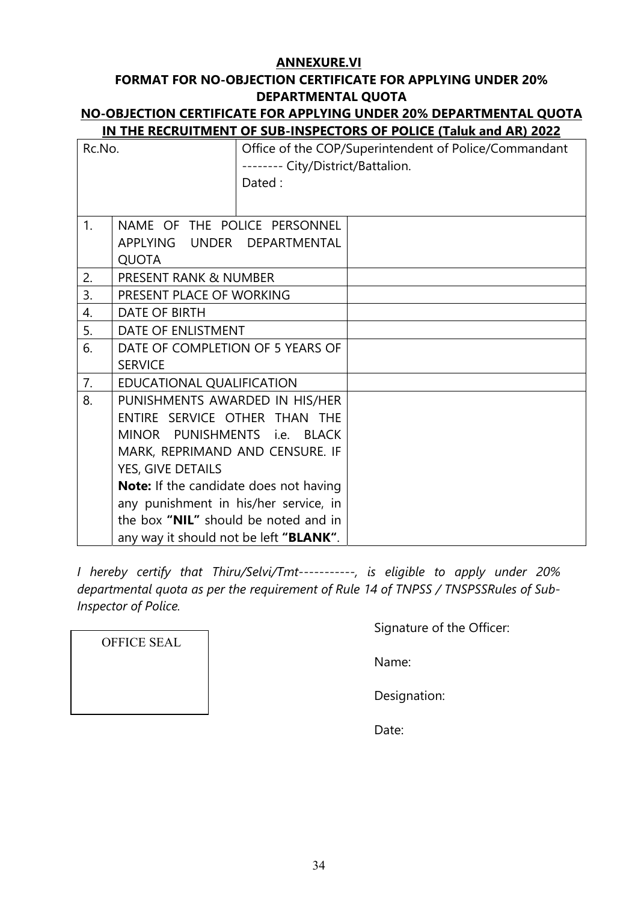#### **[ANNEXURE.VI](#page-10-0)**

# <span id="page-33-0"></span>**FORMAT FOR NO-OBJECTION CERTIFICATE FOR APPLYING UNDER 20% DEPARTMENTAL QUOTA**

#### **NO-OBJECTION CERTIFICATE FOR APPLYING UNDER 20% DEPARTMENTAL QUOTA IN THE RECRUITMENT OF SUB-INSPECTORS OF POLICE (Taluk and AR) 2022**

| Rc.No. | -------- City/District/Battalion.      | <u> 1 1 9 1 1 9 1 </u><br><u>. Laidh ann Luit</u><br>Office of the COP/Superintendent of Police/Commandant |  |
|--------|----------------------------------------|------------------------------------------------------------------------------------------------------------|--|
|        | Dated:                                 |                                                                                                            |  |
|        |                                        |                                                                                                            |  |
| 1.     | NAME OF THE POLICE PERSONNEL           |                                                                                                            |  |
|        | APPLYING UNDER DEPARTMENTAL            |                                                                                                            |  |
|        | <b>QUOTA</b>                           |                                                                                                            |  |
| 2.     | <b>PRESENT RANK &amp; NUMBER</b>       |                                                                                                            |  |
| 3.     | PRESENT PLACE OF WORKING               |                                                                                                            |  |
| 4.     | <b>DATE OF BIRTH</b>                   |                                                                                                            |  |
| 5.     | DATE OF ENLISTMENT                     |                                                                                                            |  |
| 6.     | DATE OF COMPLETION OF 5 YEARS OF       |                                                                                                            |  |
|        | <b>SERVICE</b>                         |                                                                                                            |  |
| 7.     | EDUCATIONAL QUALIFICATION              |                                                                                                            |  |
| 8.     | PUNISHMENTS AWARDED IN HIS/HER         |                                                                                                            |  |
|        | ENTIRE SERVICE OTHER THAN THE          |                                                                                                            |  |
|        | MINOR PUNISHMENTS i.e. BLACK           |                                                                                                            |  |
|        | MARK, REPRIMAND AND CENSURE. IF        |                                                                                                            |  |
|        | YES, GIVE DETAILS                      |                                                                                                            |  |
|        | Note: If the candidate does not having |                                                                                                            |  |
|        | any punishment in his/her service, in  |                                                                                                            |  |
|        | the box "NIL" should be noted and in   |                                                                                                            |  |
|        | any way it should not be left "BLANK". |                                                                                                            |  |

*I hereby certify that Thiru/Selvi/Tmt-----------, is eligible to apply under 20% departmental quota as per the requirement of Rule 14 of TNPSS / TNSPSSRules of Sub-Inspector of Police.* 

Signature of the Officer:

Name:

Designation:

Date:

OFFICE SEAL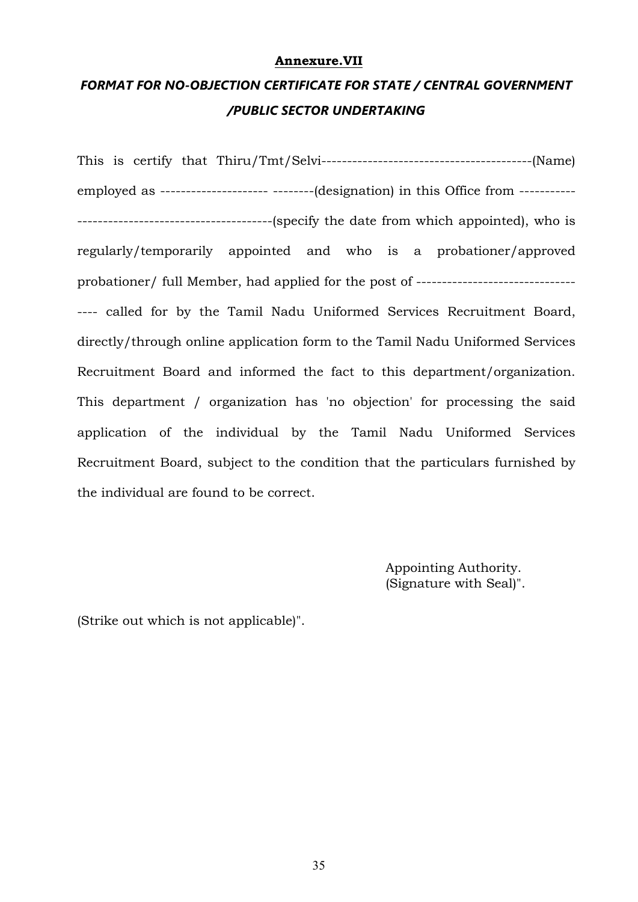#### **[Annexure.VII](#page-12-0)**

# <span id="page-34-0"></span>*FORMAT FOR NO-OBJECTION CERTIFICATE FOR STATE / CENTRAL GOVERNMENT /PUBLIC SECTOR UNDERTAKING*

This is certify that Thiru/Tmt/Selvi-----------------------------------------(Name) employed as --------------------- --------(designation) in this Office from ----------- --------------------------------------(specify the date from which appointed), who is regularly/temporarily appointed and who is a probationer/approved probationer/ full Member, had applied for the post of ------------------------------- ---- called for by the Tamil Nadu Uniformed Services Recruitment Board, directly/through online application form to the Tamil Nadu Uniformed Services Recruitment Board and informed the fact to this department/organization. This department / organization has 'no objection' for processing the said application of the individual by the Tamil Nadu Uniformed Services Recruitment Board, subject to the condition that the particulars furnished by the individual are found to be correct.

> Appointing Authority. (Signature with Seal)".

(Strike out which is not applicable)".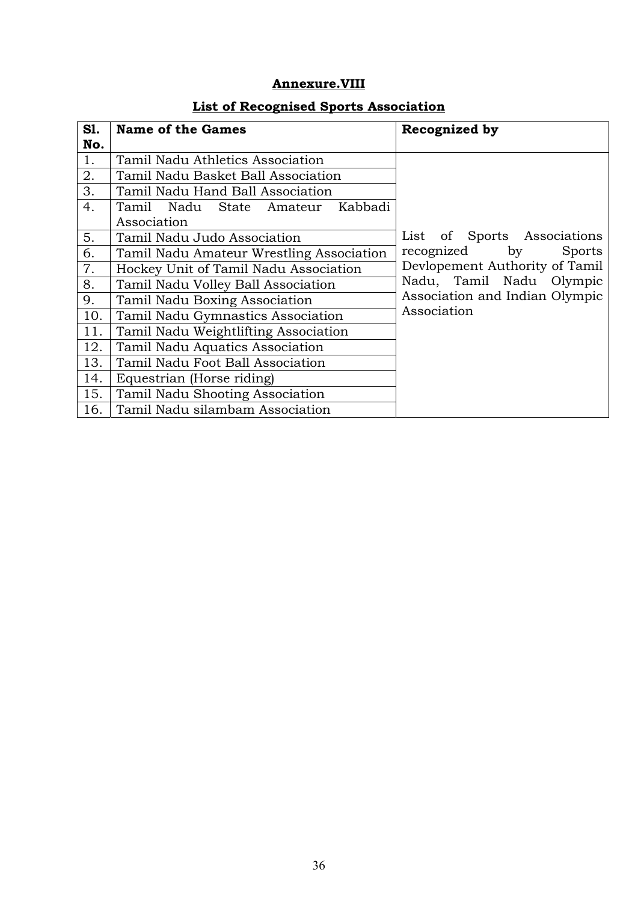# **Annexure.VIII**

<span id="page-35-0"></span>

| S1. | <b>Name of the Games</b>                                                      | Recognized by                  |
|-----|-------------------------------------------------------------------------------|--------------------------------|
| No. |                                                                               |                                |
| 1.  | Tamil Nadu Athletics Association                                              |                                |
| 2.  | Tamil Nadu Basket Ball Association                                            |                                |
| 3.  | Tamil Nadu Hand Ball Association                                              |                                |
| 4.  | Tamil Nadu State Amateur<br>Kabbadi                                           |                                |
|     | Association                                                                   |                                |
| 5.  | Tamil Nadu Judo Association                                                   | of Sports Associations<br>List |
| 6.  | recognized<br>by<br><b>Sports</b><br>Tamil Nadu Amateur Wrestling Association |                                |
| 7.  | Hockey Unit of Tamil Nadu Association                                         | Devlopement Authority of Tamil |
| 8.  | Tamil Nadu Volley Ball Association                                            | Nadu, Tamil Nadu Olympic       |
| 9.  | Tamil Nadu Boxing Association                                                 | Association and Indian Olympic |
| 10. | Tamil Nadu Gymnastics Association                                             | Association                    |
| 11. | Tamil Nadu Weightlifting Association                                          |                                |
| 12. | Tamil Nadu Aquatics Association                                               |                                |
| 13. | Tamil Nadu Foot Ball Association                                              |                                |
| 14. | Equestrian (Horse riding)                                                     |                                |
| 15. | Tamil Nadu Shooting Association                                               |                                |
| 16. | Tamil Nadu silambam Association                                               |                                |

# **List of Recognised Sports Association**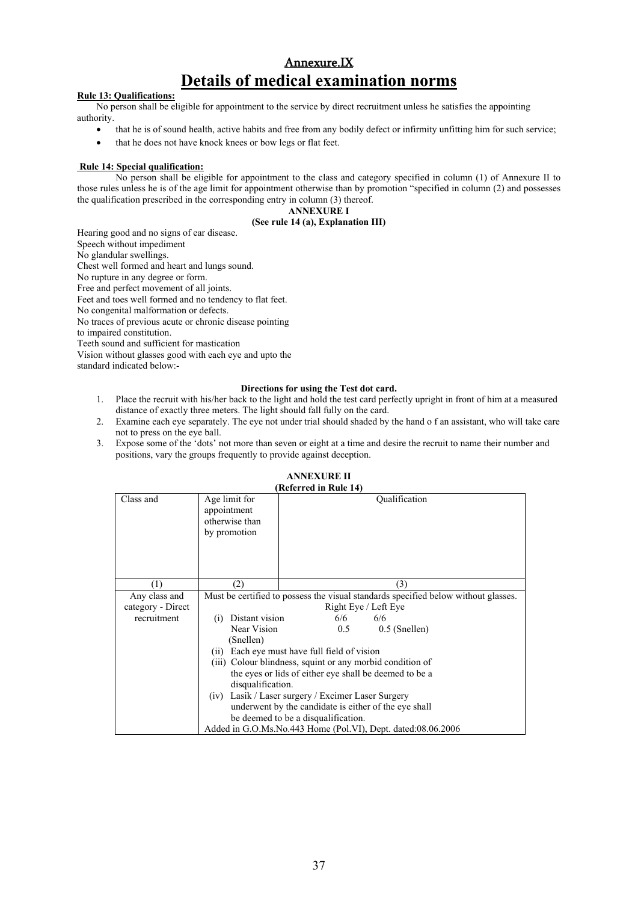# [Annexure.IX](#page-14-0)  **Details of medical examination norms**

#### <span id="page-36-0"></span>**Rule 13: Qualifications:**

No person shall be eligible for appointment to the service by direct recruitment unless he satisfies the appointing authority.

- that he is of sound health, active habits and free from any bodily defect or infirmity unfitting him for such service;
- that he does not have knock knees or bow legs or flat feet.

#### **Rule 14: Special qualification:**

No person shall be eligible for appointment to the class and category specified in column (1) of Annexure II to those rules unless he is of the age limit for appointment otherwise than by promotion "specified in column (2) and possesses the qualification prescribed in the corresponding entry in column (3) thereof.

#### **ANNEXURE I**

#### **(See rule 14 (a), Explanation III)**

Hearing good and no signs of ear disease. Speech without impediment No glandular swellings. Chest well formed and heart and lungs sound. No rupture in any degree or form. Free and perfect movement of all joints. Feet and toes well formed and no tendency to flat feet. No congenital malformation or defects. No traces of previous acute or chronic disease pointing to impaired constitution. Teeth sound and sufficient for mastication Vision without glasses good with each eye and upto the standard indicated below:-

#### **Directions for using the Test dot card.**

- 1. Place the recruit with his/her back to the light and hold the test card perfectly upright in front of him at a measured distance of exactly three meters. The light should fall fully on the card.
- 2. Examine each eye separately. The eye not under trial should shaded by the hand o f an assistant, who will take care not to press on the eye ball.
- 3. Expose some of the 'dots' not more than seven or eight at a time and desire the recruit to name their number and positions, vary the groups frequently to provide against deception.

#### **ANNEXURE II**

| Referred in Rule 14) |                                                                                    |                                                              |  |
|----------------------|------------------------------------------------------------------------------------|--------------------------------------------------------------|--|
| Class and            | Age limit for<br>appointment<br>otherwise than<br>by promotion                     | Oualification                                                |  |
| (1)                  | (2)                                                                                | (3)                                                          |  |
| Any class and        | Must be certified to possess the visual standards specified below without glasses. |                                                              |  |
| category - Direct    |                                                                                    | Right Eye / Left Eye                                         |  |
| recruitment          | Distant vision<br>(i)                                                              | 6/6<br>6/6                                                   |  |
|                      | Near Vision                                                                        | 0.5<br>$0.5$ (Snellen)                                       |  |
|                      | (Snellen)                                                                          |                                                              |  |
|                      | (i)                                                                                | Each eye must have full field of vision                      |  |
|                      |                                                                                    | (iii) Colour blindness, squint or any morbid condition of    |  |
|                      |                                                                                    | the eyes or lids of either eye shall be deemed to be a       |  |
|                      | disqualification.                                                                  |                                                              |  |
|                      | (iv)                                                                               | Lasik / Laser surgery / Excimer Laser Surgery                |  |
|                      |                                                                                    | underwent by the candidate is either of the eye shall        |  |
|                      |                                                                                    | be deemed to be a disqualification.                          |  |
|                      |                                                                                    | Added in G.O.Ms.No.443 Home (Pol.VI), Dept. dated:08.06.2006 |  |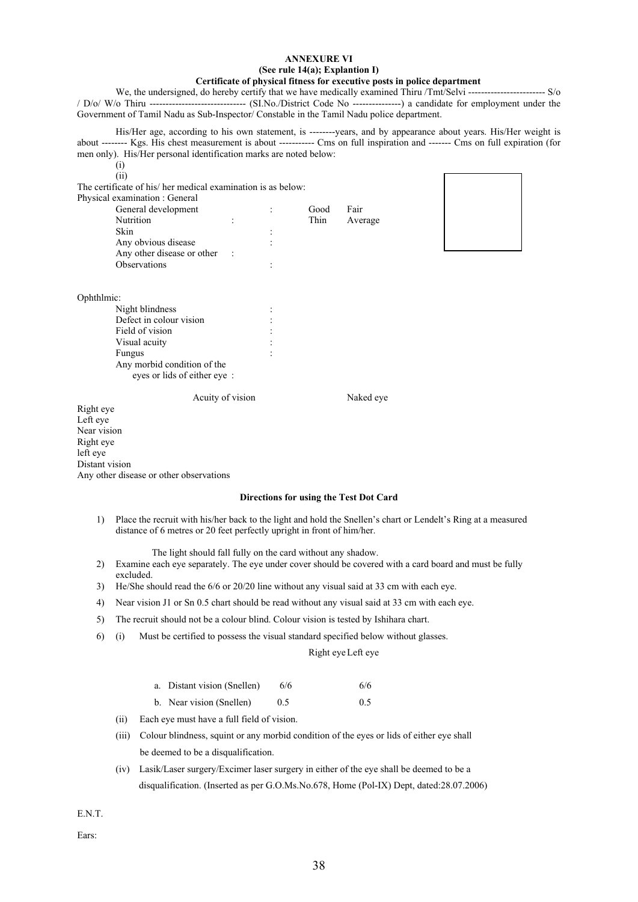#### **ANNEXURE VI (See rule 14(a); Explantion I) Certificate of physical fitness for executive posts in police department**

We, the undersigned, do hereby certify that we have medically examined Thiru /Tmt/Selvi ------------------------- S/o / D/o/ W/o Thiru ------------------------------ (SI.No./District Code No ---------------) a candidate for employment under the Government of Tamil Nadu as Sub-Inspector/ Constable in the Tamil Nadu police department.

His/Her age, according to his own statement, is --------years, and by appearance about years. His/Her weight is about -------- Kgs. His chest measurement is about ----------- Cms on full inspiration and ------- Cms on full expiration (for men only). His/Her personal identification marks are noted below:

(i)

 (ii) The certificate of his/ her medical examination is as below: Physical examination : General

| General development        |           |   | Good | Fair    |  |
|----------------------------|-----------|---|------|---------|--|
| Nutrition                  | ٠         |   | Thin | Average |  |
| Skin                       |           |   |      |         |  |
| Any obvious disease        |           | ٠ |      |         |  |
| Any other disease or other | $\cdot$ : |   |      |         |  |
| <b>Observations</b>        |           | ٠ |      |         |  |



Ophthlmic:

| Night blindness             |  |
|-----------------------------|--|
| Defect in colour vision     |  |
| Field of vision             |  |
| Visual acuity               |  |
| Fungus                      |  |
| Any morbid condition of the |  |
| eves or lids of either eve: |  |

Acuity of vision Naked eye

Right eye Left eye Near vision Right eye left eye Distant vision Any other disease or other observations

#### **Directions for using the Test Dot Card**

1) Place the recruit with his/her back to the light and hold the Snellen's chart or Lendelt's Ring at a measured distance of 6 metres or 20 feet perfectly upright in front of him/her.

The light should fall fully on the card without any shadow.

- 2) Examine each eye separately. The eye under cover should be covered with a card board and must be fully excluded.
- 3) He/She should read the 6/6 or 20/20 line without any visual said at 33 cm with each eye.
- 4) Near vision J1 or Sn 0.5 chart should be read without any visual said at 33 cm with each eye.
- 5) The recruit should not be a colour blind. Colour vision is tested by Ishihara chart.
- 6) (i) Must be certified to possess the visual standard specified below without glasses.

#### Right eye Left eye

| a. Distant vision (Snellen) | 6/6 | 6/6 |
|-----------------------------|-----|-----|
| b. Near vision (Snellen)    | 0.5 | 0.5 |

- (ii) Each eye must have a full field of vision.
- (iii) Colour blindness, squint or any morbid condition of the eyes or lids of either eye shall be deemed to be a disqualification.
- (iv) Lasik/Laser surgery/Excimer laser surgery in either of the eye shall be deemed to be a disqualification. (Inserted as per G.O.Ms.No.678, Home (Pol-IX) Dept, dated:28.07.2006)

E.N.T.

Ears: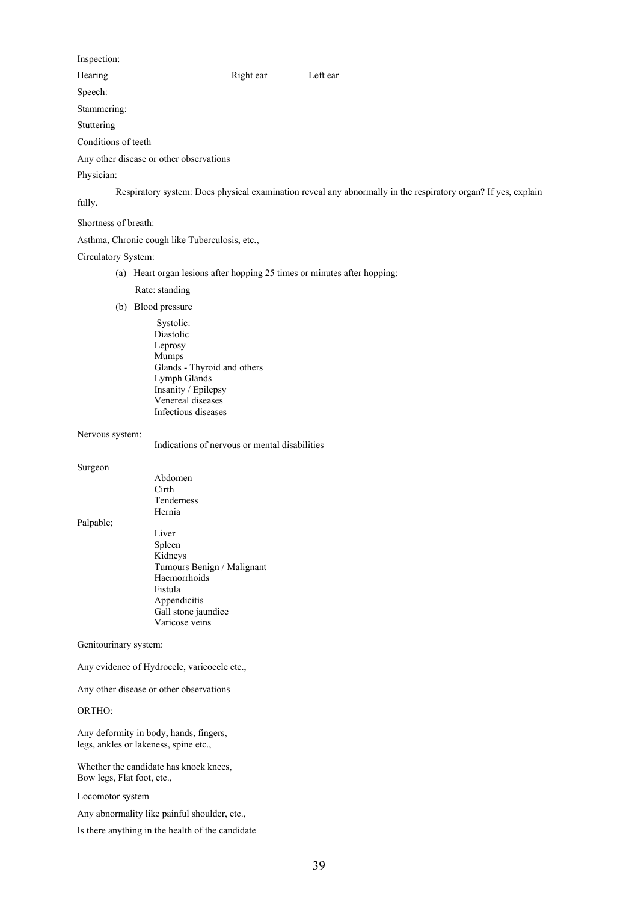#### Inspection:

Hearing Right ear Left ear

Speech:

Stammering:

Stuttering

Conditions of teeth

Any other disease or other observations

#### Physician:

Respiratory system: Does physical examination reveal any abnormally in the respiratory organ? If yes, explain fully.

#### Shortness of breath:

Asthma, Chronic cough like Tuberculosis, etc.,

#### Circulatory System:

(a) Heart organ lesions after hopping 25 times or minutes after hopping:

Rate: standing

(b) Blood pressure

 Systolic: Diastolic Leprosy Mumps Glands - Thyroid and others Lymph Glands Insanity / Epilepsy Venereal diseases Infectious diseases

#### Nervous system:

Indications of nervous or mental disabilities

#### Surgeon

 Abdomen Cirth Tenderness Hernia Palpable; Liver Spleen Kidneys Tumours Benign / Malignant Haemorrhoids Fistula Appendicitis Gall stone jaundice Varicose veins

#### Genitourinary system:

Any evidence of Hydrocele, varicocele etc.,

Any other disease or other observations

#### ORTHO:

Any deformity in body, hands, fingers, legs, ankles or lakeness, spine etc.,

Whether the candidate has knock knees, Bow legs, Flat foot, etc.,

Locomotor system

Any abnormality like painful shoulder, etc.,

Is there anything in the health of the candidate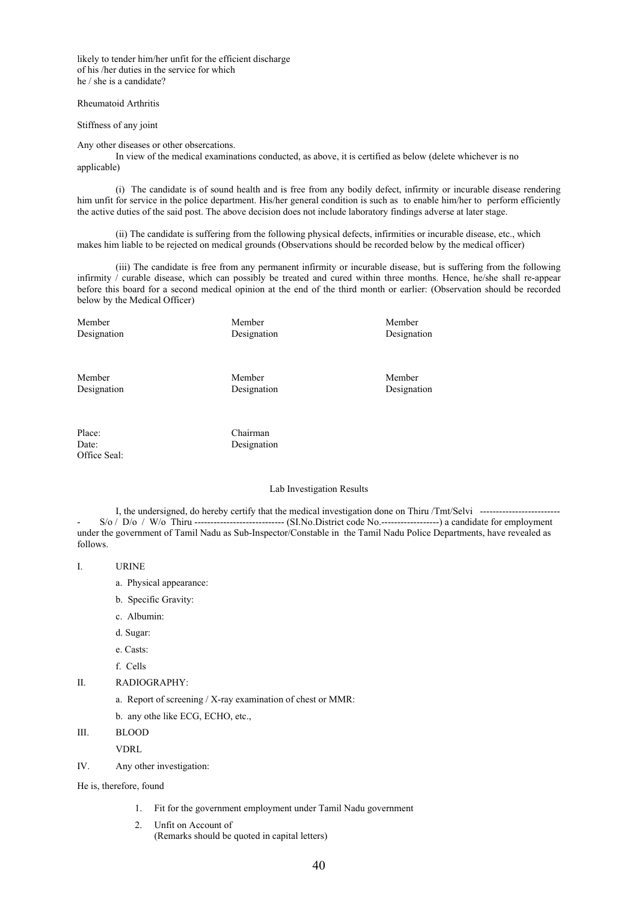likely to tender him/her unfit for the efficient discharge of his /her duties in the service for which he / she is a candidate?

#### Rheumatoid Arthritis

Stiffness of any joint

Any other diseases or other obsercations.

In view of the medical examinations conducted, as above, it is certified as below (delete whichever is no applicable)

 (i) The candidate is of sound health and is free from any bodily defect, infirmity or incurable disease rendering him unfit for service in the police department. His/her general condition is such as to enable him/her to perform efficiently the active duties of the said post. The above decision does not include laboratory findings adverse at later stage.

 (ii) The candidate is suffering from the following physical defects, infirmities or incurable disease, etc., which makes him liable to be rejected on medical grounds (Observations should be recorded below by the medical officer)

 (iii) The candidate is free from any permanent infirmity or incurable disease, but is suffering from the following infirmity  $\ell$  curable disease, which can possibly be treated and cured within three months. Hence, he/she shall re-appear before this board for a second medical opinion at the end of the third month or earlier: (Observation should be recorded below by the Medical Officer)

Member Member Member

Designation Designation Designation Designation

Member Member Member

Designation Designation Designation Designation

Place: Chairman Date: Designation Office Seal:

#### Lab Investigation Results

I, the undersigned, do hereby certify that the medical investigation done on Thiru /Tmt/Selvi ------------------------- - S/o / D/o / W/o Thiru ---------------------------- (SI.No.District code No.------------------) a candidate for employment under the government of Tamil Nadu as Sub-Inspector/Constable in the Tamil Nadu Police Departments, have revealed as follows.

I. URINE

- a. Physical appearance:
- b. Specific Gravity:
- c. Albumin:
- d. Sugar:
- e. Casts:
- f. Cells

#### II. RADIOGRAPHY:

a. Report of screening / X-ray examination of chest or MMR:

- b. any othe like ECG, ECHO, etc.,
- III. BLOOD

VDRL

IV. Any other investigation:

He is, therefore, found

- 1. Fit for the government employment under Tamil Nadu government
- 2. Unfit on Account of (Remarks should be quoted in capital letters)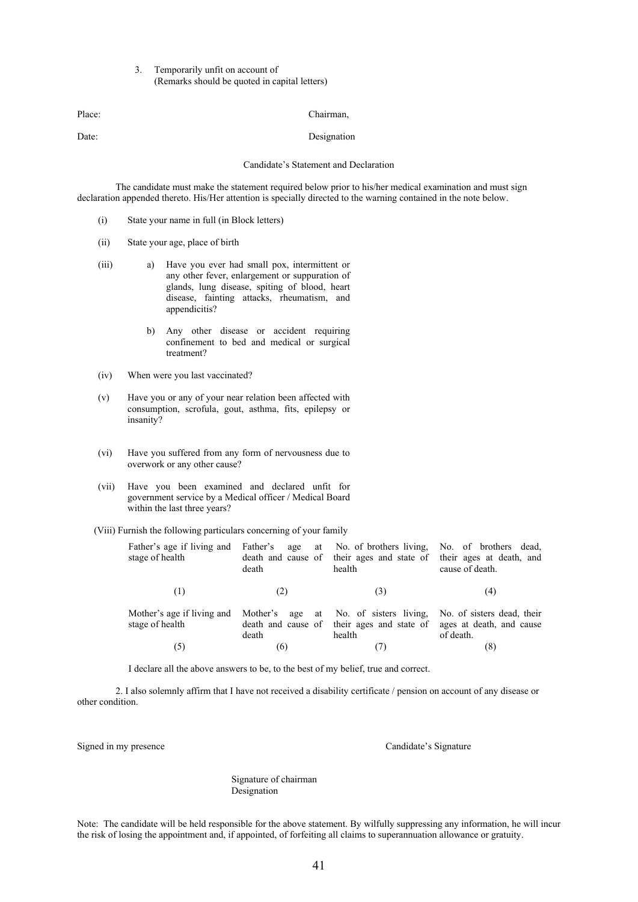#### 3. Temporarily unfit on account of (Remarks should be quoted in capital letters)

Date: Designation

Candidate's Statement and Declaration

The candidate must make the statement required below prior to his/her medical examination and must sign declaration appended thereto. His/Her attention is specially directed to the warning contained in the note below.

- (i) State your name in full (in Block letters)
- (ii) State your age, place of birth
- (iii) a) Have you ever had small pox, intermittent or any other fever, enlargement or suppuration of glands, lung disease, spiting of blood, heart disease, fainting attacks, rheumatism, and appendicitis?
	- b) Any other disease or accident requiring confinement to bed and medical or surgical treatment?
- (iv) When were you last vaccinated?
- (v) Have you or any of your near relation been affected with consumption, scrofula, gout, asthma, fits, epilepsy or insanity?
- (vi) Have you suffered from any form of nervousness due to overwork or any other cause?
- (vii) Have you been examined and declared unfit for government service by a Medical officer / Medical Board within the last three years?
- (Viii) Furnish the following particulars concerning of your family

| Father's age if living and<br>stage of health | death | health | Father's age at No. of brothers living, No. of brothers dead,<br>death and cause of their ages and state of their ages at death, and<br>cause of death. |
|-----------------------------------------------|-------|--------|---------------------------------------------------------------------------------------------------------------------------------------------------------|
| (1)                                           | (2)   | (3)    | (4)                                                                                                                                                     |
| Mother's age if living and<br>stage of health | death | health | Mother's age at No. of sisters living, No. of sisters dead, their<br>death and cause of their ages and state of ages at death, and cause<br>of death.   |
| (5)                                           | (6)   |        | (8)                                                                                                                                                     |

I declare all the above answers to be, to the best of my belief, true and correct.

2. I also solemnly affirm that I have not received a disability certificate / pension on account of any disease or other condition.

Signed in my presence Candidate's Signature

 Signature of chairman Designation

Note: The candidate will be held responsible for the above statement. By wilfully suppressing any information, he will incur the risk of losing the appointment and, if appointed, of forfeiting all claims to superannuation allowance or gratuity.

Place: Chairman,